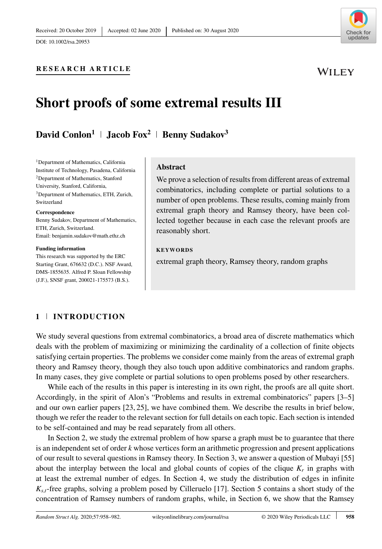DOI: 10.1002/rsa.20953

Check for updates

WILEY

# **RESEARCH ARTICLE**

# **Short proofs of some extremal results III**

**David Conlon<sup>1</sup> | <b>Jacob Fox**<sup>2</sup> | **Benny Sudakov**<sup>3</sup>

<sup>1</sup>Department of Mathematics, California Institute of Technology, Pasadena, California 2Department of Mathematics, Stanford University, Stanford, California, 3Department of Mathematics, ETH, Zurich, Switzerland

#### **Correspondence**

Benny Sudakov, Department of Mathematics, ETH, Zurich, Switzerland. Email: benjamin.sudakov@math.ethz.ch

#### **Funding information**

This research was supported by the ERC Starting Grant, 676632 (D.C.). NSF Award, DMS-1855635. Alfred P. Sloan Fellowship (J.F.), SNSF grant, 200021-175573 (B.S.).

#### **Abstract**

We prove a selection of results from different areas of extremal combinatorics, including complete or partial solutions to a number of open problems. These results, coming mainly from extremal graph theory and Ramsey theory, have been collected together because in each case the relevant proofs are reasonably short.

#### **KEYWORDS**

extremal graph theory, Ramsey theory, random graphs

# **1 INTRODUCTION**

We study several questions from extremal combinatorics, a broad area of discrete mathematics which deals with the problem of maximizing or minimizing the cardinality of a collection of finite objects satisfying certain properties. The problems we consider come mainly from the areas of extremal graph theory and Ramsey theory, though they also touch upon additive combinatorics and random graphs. In many cases, they give complete or partial solutions to open problems posed by other researchers.

While each of the results in this paper is interesting in its own right, the proofs are all quite short. Accordingly, in the spirit of Alon's "Problems and results in extremal combinatorics" papers [3–5] and our own earlier papers [23, 25], we have combined them. We describe the results in brief below, though we refer the reader to the relevant section for full details on each topic. Each section is intended to be self-contained and may be read separately from all others.

In Section 2, we study the extremal problem of how sparse a graph must be to guarantee that there is an independent set of order *k* whose vertices form an arithmetic progression and present applications of our result to several questions in Ramsey theory. In Section 3, we answer a question of Mubayi [55] about the interplay between the local and global counts of copies of the clique  $K_r$  in graphs with at least the extremal number of edges. In Section 4, we study the distribution of edges in infinite *Ks,t*-free graphs, solving a problem posed by Cilleruelo [17]. Section 5 contains a short study of the concentration of Ramsey numbers of random graphs, while, in Section 6, we show that the Ramsey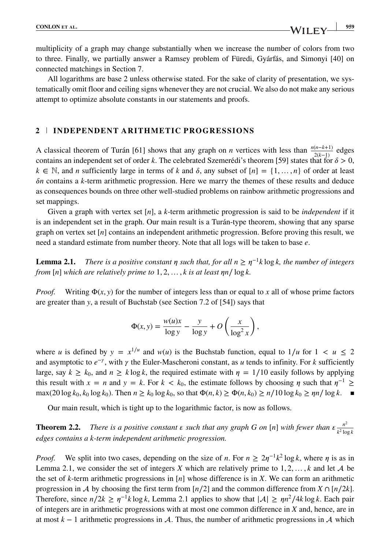multiplicity of a graph may change substantially when we increase the number of colors from two to three. Finally, we partially answer a Ramsey problem of Füredi, Gyárfás, and Simonyi [40] on connected matchings in Section 7.

All logarithms are base 2 unless otherwise stated. For the sake of clarity of presentation, we systematically omit floor and ceiling signs whenever they are not crucial. We also do not make any serious attempt to optimize absolute constants in our statements and proofs.

## **2 INDEPENDENT ARITHMETIC PROGRESSIONS**

A classical theorem of Turán [61] shows that any graph on *n* vertices with less than  $\frac{n(n-k+1)}{2(k-1)}$  edges contains an independent set of order *k*. The celebrated Szemerédi's theorem [59] states that for  $\delta > 0$ ,  $k \in \mathbb{N}$ , and *n* sufficiently large in terms of *k* and  $\delta$ , any subset of  $[n] = \{1, \ldots, n\}$  of order at least  $\delta n$  contains a *k*-term arithmetic progression. Here we marry the themes of these results and deduce as consequences bounds on three other well-studied problems on rainbow arithmetic progressions and set mappings.

Given a graph with vertex set [*n*], a *k*-term arithmetic progression is said to be *independent* if it is an independent set in the graph. Our main result is a Turán-type theorem, showing that any sparse graph on vertex set [*n*] contains an independent arithmetic progression. Before proving this result, we need a standard estimate from number theory. Note that all logs will be taken to base *e*.

**Lemma 2.1.** *There is a positive constant*  $\eta$  *such that, for all*  $n \geq \eta^{-1}k \log k$ *, the number of integers from* [*n*] *which are relatively prime to* 1*,* 2*,* …*, k is at least n*∕ log *k.*

*Proof.* Writing  $\Phi(x, y)$  for the number of integers less than or equal to *x* all of whose prime factors are greater than *y*, a result of Buchstab (see Section 7.2 of [54]) says that

$$
\Phi(x, y) = \frac{w(u)x}{\log y} - \frac{y}{\log y} + O\left(\frac{x}{\log^2 x}\right),\,
$$

where *u* is defined by  $y = x^{1/u}$  and  $w(u)$  is the Buchstab function, equal to  $1/u$  for  $1 < u \le 2$ and asymptotic to  $e^{-\gamma}$ , with  $\gamma$  the Euler-Mascheroni constant, as *u* tends to infinity. For *k* sufficiently large, say  $k \geq k_0$ , and  $n \geq k \log k$ , the required estimate with  $\eta = 1/10$  easily follows by applying this result with  $x = n$  and  $y = k$ . For  $k < k_0$ , the estimate follows by choosing  $\eta$  such that  $\eta^{-1} \ge$ max(20 log  $k_0$ ,  $k_0$  log  $k_0$ ). Then  $n \ge k_0$  log  $k_0$ , so that  $\Phi(n, k) \ge \Phi(n, k_0) \ge n/10 \log k_0 \ge \eta n/\log k$ . ■

Our main result, which is tight up to the logarithmic factor, is now as follows.

**Theorem 2.2.** *There is a positive constant*  $\epsilon$  such that any graph G on [n] with fewer than  $\epsilon \frac{n^2}{k^2 \log k}$ *edges contains a k-term independent arithmetic progression.*

*Proof.* We split into two cases, depending on the size of *n*. For  $n \geq 2\eta^{-1}k^2 \log k$ , where  $\eta$  is as in Lemma 2.1, we consider the set of integers *X* which are relatively prime to  $1, 2, \ldots, k$  and let A be the set of *k*-term arithmetic progressions in [*n*] whose difference is in *X*. We can form an arithmetic progression in A by choosing the first term from  $\lfloor n/2 \rfloor$  and the common difference from  $X \cap \lfloor n/2k \rfloor$ . Therefore, since  $n/2k \geq n^{-1}k \log k$ , Lemma 2.1 applies to show that  $|A| \geq 1/n^2/4k \log k$ . Each pair of integers are in arithmetic progressions with at most one common difference in *X* and, hence, are in at most  $k - 1$  arithmetic progressions in A. Thus, the number of arithmetic progressions in A which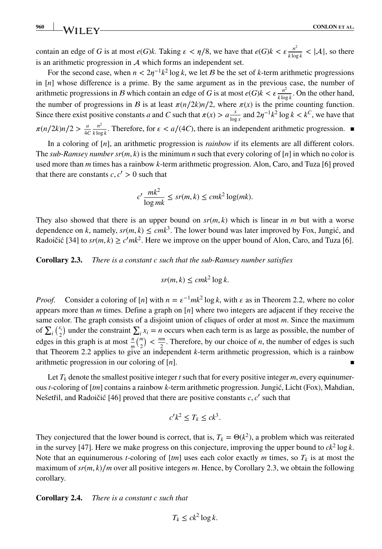contain an edge of *G* is at most  $e(G)$ *k*. Taking  $\epsilon < \eta/8$ , we have that  $e(G)$ *k*  $< \epsilon \frac{n^2}{k \log k} < |\mathcal{A}|$ , so there is an arithmetic progression in  $A$  which forms an independent set.

For the second case, when  $n < 2\eta^{-1}k^2 \log k$ , we let *B* be the set of *k*-term arithmetic progressions in [*n*] whose difference is a prime. By the same argument as in the previous case, the number of arithmetic progressions in *B* which contain an edge of *G* is at most  $e(G)k < \varepsilon \frac{n^2}{k \log k}$ . On the other hand, the number of progressions in *B* is at least  $\pi(n/2k)n/2$ , where  $\pi(x)$  is the prime counting function. Since there exist positive constants *a* and *C* such that  $\pi(x) > a \frac{x}{\log x}$  and  $2\eta^{-1}k^2 \log k < k^C$ , we have that  $\pi(n/2k)n/2 > \frac{a}{4C}$ *n*2  $\frac{n}{k \log k}$ . Therefore, for *ε* < *a*/(4*C*), there is an independent arithmetic progression. ■

In a coloring of [*n*], an arithmetic progression is *rainbow* if its elements are all different colors. The *sub-Ramsey number*  $sr(m, k)$  is the minimum *n* such that every coloring of [*n*] in which no color is used more than *m* times has a rainbow *k*-term arithmetic progression. Alon, Caro, and Tuza [6] proved that there are constants  $c, c' > 0$  such that

$$
c' \frac{mk^2}{\log mk} \le sr(m, k) \le cmk^2 \log(mk).
$$

They also showed that there is an upper bound on  $sr(m, k)$  which is linear in *m* but with a worse dependence on *k*, namely,  $sr(m, k) \leq cmk^3$ . The lower bound was later improved by Fox, Jungić, and Radoičić [34] to  $sr(m, k) \geq c'mk^2$ . Here we improve on the upper bound of Alon, Caro, and Tuza [6].

**Corollary 2.3.** *There is a constant c such that the sub-Ramsey number satisfies*

$$
sr(m,k) \leq cmk^2 \log k.
$$

*Proof.* Consider a coloring of  $[n]$  with  $n = \varepsilon^{-1} m k^2 \log k$ , with  $\varepsilon$  as in Theorem 2.2, where no color appears more than *m* times. Define a graph on [*n*] where two integers are adjacent if they receive the same color. The graph consists of a disjoint union of cliques of order at most *m*. Since the maximum of  $\sum_i \binom{x_i}{2}$  under the constraint  $\sum_i x_i = n$  occurs when each term is as large as possible, the number of edges in this graph is at most  $\frac{n}{m} {m \choose 2} < \frac{nm}{2}$ . Therefore, by our choice of *n*, the number of edges is such that Theorem 2.2 applies to give an independent *k*-term arithmetic progression, which is a rainbow arithmetic progression in our coloring of  $[n]$ .

Let  $T_k$  denote the smallest positive integer *t* such that for every positive integer *m*, every equinumerous *t*-coloring of [*tm*] contains a rainbow *k*-term arithmetic progression. Jungic, Licht (Fox), Mahdian, ´ Nešetřil, and Radoičić [46] proved that there are positive constants  $c, c'$  such that

$$
c'k^2 \le T_k \le ck^3.
$$

They conjectured that the lower bound is correct, that is,  $T_k = \Theta(k^2)$ , a problem which was reiterated in the survey [47]. Here we make progress on this conjecture, improving the upper bound to  $ck^2 \log k$ . Note that an equinumerous *t*-coloring of  $[m]$  uses each color exactly *m* times, so  $T_k$  is at most the maximum of  $sr(m, k)/m$  over all positive integers m. Hence, by Corollary 2.3, we obtain the following corollary.

#### **Corollary 2.4.** *There is a constant c such that*

$$
T_k \le ck^2 \log k.
$$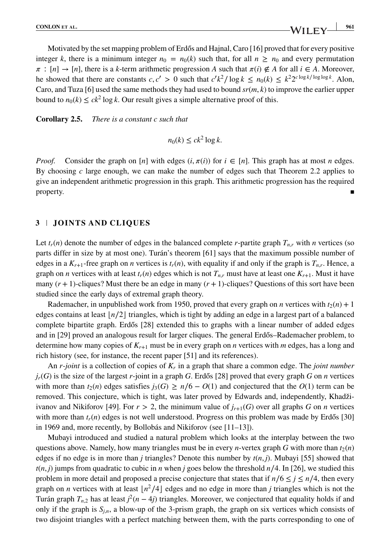Motivated by the set mapping problem of Erdős and Hajnal, Caro  $[16]$  proved that for every positive integer *k*, there is a minimum integer  $n_0 = n_0(k)$  such that, for all  $n \ge n_0$  and every permutation  $\pi$ :  $[n] \rightarrow [n]$ , there is a *k*-term arithmetic progression *A* such that  $\pi(i) \notin A$  for all  $i \in A$ . Moreover, he showed that there are constants  $c, c' > 0$  such that  $c'k^2/\log k \le n_0(k) \le k^2 2^{c \log k/\log \log k}$ . Alon, Caro, and Tuza [6] used the same methods they had used to bound *sr*(*m, k*) to improve the earlier upper bound to  $n_0(k) \le ck^2 \log k$ . Our result gives a simple alternative proof of this.

#### **Corollary 2.5.** *There is a constant c such that*

$$
n_0(k) \le ck^2 \log k.
$$

*Proof.* Consider the graph on [*n*] with edges  $(i, \pi(i))$  for  $i \in [n]$ . This graph has at most *n* edges. By choosing *c* large enough, we can make the number of edges such that Theorem 2.2 applies to give an independent arithmetic progression in this graph. This arithmetic progression has the required property.  $\blacksquare$ 

### **3 JOINTS AND CLIQUES**

Let  $t_r(n)$  denote the number of edges in the balanced complete *r*-partite graph  $T_{n,r}$  with *n* vertices (so parts differ in size by at most one). Turán's theorem [61] says that the maximum possible number of edges in a  $K_{r+1}$ -free graph on *n* vertices is  $t_r(n)$ , with equality if and only if the graph is  $T_{n,r}$ . Hence, a graph on *n* vertices with at least  $t_r(n)$  edges which is not  $T_{n,r}$  must have at least one  $K_{r+1}$ . Must it have many  $(r + 1)$ -cliques? Must there be an edge in many  $(r + 1)$ -cliques? Questions of this sort have been studied since the early days of extremal graph theory.

Rademacher, in unpublished work from 1950, proved that every graph on *n* vertices with  $t_2(n) + 1$ edges contains at least |*n*/2 | triangles, which is tight by adding an edge in a largest part of a balanced complete bipartite graph. Erdős [28] extended this to graphs with a linear number of added edges and in [29] proved an analogous result for larger cliques. The general Erdős–Rademacher problem, to determine how many copies of *Kr*+<sup>1</sup> must be in every graph on *n* vertices with *m* edges, has a long and rich history (see, for instance, the recent paper [51] and its references).

An *r-joint* is a collection of copies of *Kr* in a graph that share a common edge. The *joint number*  $j_r(G)$  is the size of the largest *r*-joint in a graph *G*. Erdős [28] proved that every graph *G* on *n* vertices with more than  $t_2(n)$  edges satisfies  $j_3(G) \ge n/6 - O(1)$  and conjectured that the  $O(1)$  term can be removed. This conjecture, which is tight, was later proved by Edwards and, independently, Khadžiivanov and Nikiforov [49]. For  $r > 2$ , the minimum value of  $j_{r+1}(G)$  over all graphs *G* on *n* vertices with more than  $t_r(n)$  edges is not well understood. Progress on this problem was made by Erdős [30] in 1969 and, more recently, by Bollobás and Nikiforov (see [11–13]).

Mubayi introduced and studied a natural problem which looks at the interplay between the two questions above. Namely, how many triangles must be in every *n*-vertex graph *G* with more than  $t_2(n)$ edges if no edge is in more than *j* triangles? Denote this number by *t*(*n, j*). Mubayi [55] showed that  $t(n, j)$  jumps from quadratic to cubic in *n* when *j* goes below the threshold *n*/4. In [26], we studied this problem in more detail and proposed a precise conjecture that states that if  $n/6 \le j \le n/4$ , then every graph on *n* vertices with at least  $\lfloor n^2/4 \rfloor$  edges and no edge in more than *j* triangles which is not the Turán graph  $T_{n,2}$  has at least  $j^2(n-4j)$  triangles. Moreover, we conjectured that equality holds if and only if the graph is  $S_{i,n}$ , a blow-up of the 3-prism graph, the graph on six vertices which consists of two disjoint triangles with a perfect matching between them, with the parts corresponding to one of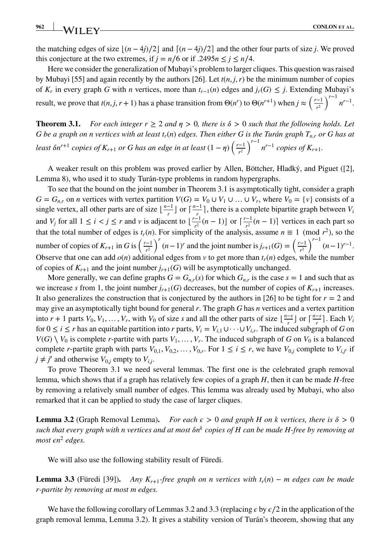the matching edges of size  $|(n-4j)/2|$  and  $[(n-4j)/2]$  and the other four parts of size *j*. We proved this conjecture at the two extremes, if  $j = n/6$  or if  $.2495n \le j \le n/4$ .

Here we consider the generalization of Mubayi's problem to larger cliques. This question was raised by Mubayi [55] and again recently by the authors [26]. Let  $t(n, j, r)$  be the minimum number of copies of  $K_r$  in every graph *G* with *n* vertices, more than  $t_{r-1}(n)$  edges and  $j_r(G) ≤ j$ . Extending Mubayi's result, we prove that  $t(n,j,r+1)$  has a phase transition from  $\Theta(n^r)$  to  $\Theta(n^{r+1})$  when  $j \approx \left(\frac{r-1}{n^2}\right)$ *r*2  $\int^{r-1} n^{r-1}$ .

**Theorem 3.1.** For each integer  $r > 2$  and  $n > 0$ , there is  $\delta > 0$  such that the following holds. Let *G* be a graph on n vertices with at least  $t_r(n)$  edges. Then either G is the Turán graph  $T_{n,r}$  or G has at *least*  $\delta n^{r+1}$  *copies of*  $K_{r+1}$  *or G has an edge in at least*  $(1 - \eta) \left( \frac{r-1}{r^2} \right)$ *r*2  $\int^{r-1} n^{r-1}$  *copies of*  $K_{r+1}$ *.* 

A weaker result on this problem was proved earlier by Allen, Böttcher, Hladký, and Piguet ([2], Lemma 8), who used it to study Turán-type problems in random hypergraphs.

To see that the bound on the joint number in Theorem 3.1 is asymptotically tight, consider a graph  $G = G_{n,r}$  on *n* vertices with vertex partition  $V(G) = V_0 \cup V_1 \cup ... \cup V_r$ , where  $V_0 = \{v\}$  consists of a single vertex, all other parts are of size  $\lfloor \frac{n-1}{r} \rfloor$  or  $\lceil \frac{n-1}{r} \rceil$ , there is a complete bipartite graph between  $V_i$ and *V<sub>j</sub>* for all  $1 \le i < j \le r$  and *v* is adjacent to  $\left\lfloor \frac{r-1}{r^2} (n-1) \right\rfloor$  or  $\left\lceil \frac{r-1}{r^2} (n-1) \right\rceil$  vertices in each part so that the total number of edges is  $t_r(n)$ . For simplicity of the analysis, assume  $n \equiv 1 \pmod{r^2}$ , so the number of copies of  $K_{r+1}$  in *G* is  $\left(\frac{r-1}{r^2}\right)$  $\int_0^r (n-1)^r$  and the joint number is  $j_{r+1}(G) = \left(\frac{r-1}{r^2}\right)^r$  $\int^{r-1}$   $(n-1)^{r-1}$ . Observe that one can add  $o(n)$  additional edges from  $v$  to get more than  $t_r(n)$  edges, while the number of copies of  $K_{r+1}$  and the joint number  $j_{r+1}(G)$  will be asymptotically unchanged.

More generally, we can define graphs  $G = G_{n,r}(s)$  for which  $G_{n,r}$  is the case  $s = 1$  and such that as we increase *s* from 1, the joint number  $j_{r+1}(G)$  decreases, but the number of copies of  $K_{r+1}$  increases. It also generalizes the construction that is conjectured by the authors in [26] to be tight for  $r = 2$  and may give an asymptotically tight bound for general *r*. The graph *G* has *n* vertices and a vertex partition into  $r + 1$  parts  $V_0, V_1, ..., V_r$ , with  $V_0$  of size s and all the other parts of size  $\lfloor \frac{n-s}{r} \rfloor$  or  $\lceil \frac{n-s}{r} \rceil$ . Each  $V_i$ for  $0 \le i \le r$  has an equitable partition into *r* parts,  $V_i = V_{i,1} \cup \cdots \cup V_{i,r}$ . The induced subgraph of *G* on  $V(G) \setminus V_0$  is complete *r*-partite with parts  $V_1, \ldots, V_r$ . The induced subgraph of *G* on  $V_0$  is a balanced complete r-partite graph with parts  $V_{0,1}$ ,  $V_{0,2}$ , ...,  $V_{0,r}$ . For  $1 \le i \le r$ , we have  $V_{0,i}$  complete to  $V_{i,i'}$  if  $j \neq j'$  and otherwise  $V_{0,j}$  empty to  $V_{i,j}$ .

To prove Theorem 3.1 we need several lemmas. The first one is the celebrated graph removal lemma, which shows that if a graph has relatively few copies of a graph *H*, then it can be made *H*-free by removing a relatively small number of edges. This lemma was already used by Mubayi, who also remarked that it can be applied to study the case of larger cliques.

**Lemma 3.2** (Graph Removal Lemma). For each  $\epsilon > 0$  and graph H on k vertices, there is  $\delta > 0$ *such that every graph with n vertices and at most*  $\delta n^k$  *copies of H can be made H-free by removing at most*  $\epsilon n^2$  *edges.* 

We will also use the following stability result of Füredi.

**Lemma 3.3** (Füredi [39]). *Any K<sub>r+1</sub>-free graph on n vertices with*  $t_r(n)$  *– <i>m edges can be made r-partite by removing at most m edges.*

We have the following corollary of Lemmas 3.2 and 3.3 (replacing  $\epsilon$  by  $\epsilon/2$  in the application of the graph removal lemma, Lemma 3.2). It gives a stability version of Turán's theorem, showing that any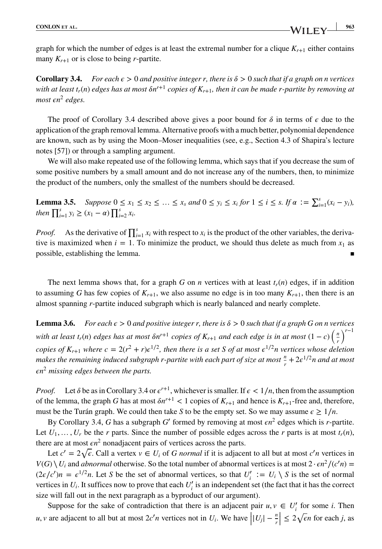graph for which the number of edges is at least the extremal number for a clique  $K_{r+1}$  either contains many  $K_{r+1}$  or is close to being *r*-partite.

**Corollary 3.4.** *For each*  $\epsilon > 0$  *and positive integer r, there is*  $\delta > 0$  *such that if a graph on n vertices with at least t<sub>r</sub>(n) edges has at most*  $\delta n^{r+1}$  *copies of*  $K_{r+1}$ *, then it can be made r-partite by removing at most*  $\epsilon n^2$  *edges.* 

The proof of Corollary 3.4 described above gives a poor bound for  $\delta$  in terms of  $\epsilon$  due to the application of the graph removal lemma. Alternative proofs with a much better, polynomial dependence are known, such as by using the Moon–Moser inequalities (see, e.g., Section 4.3 of Shapira's lecture notes [57]) or through a sampling argument.

We will also make repeated use of the following lemma, which says that if you decrease the sum of some positive numbers by a small amount and do not increase any of the numbers, then, to minimize the product of the numbers, only the smallest of the numbers should be decreased.

**Lemma 3.5.** Suppose  $0 \le x_1 \le x_2 \le ... \le x_s$  and  $0 \le y_i \le x_i$  for  $1 \le i \le s$ . If  $\alpha := \sum_{i=1}^s (x_i - y_i)$ , *then*  $\prod_{i=1}^{s} y_i \geq (x_1 - a) \prod_{i=2}^{s} x_i$ .

*Proof.* As the derivative of  $\prod_{i=1}^{s} x_i$  with respect to  $x_i$  is the product of the other variables, the derivative is maximized when  $i = 1$ . To minimize the product, we should thus delete as much from  $x_1$  as possible, establishing the lemma.

The next lemma shows that, for a graph *G* on *n* vertices with at least  $t_r(n)$  edges, if in addition to assuming *G* has few copies of  $K_{r+1}$ , we also assume no edge is in too many  $K_{r+1}$ , then there is an almost spanning *r*-partite induced subgraph which is nearly balanced and nearly complete.

**Lemma 3.6.** *For each*  $\epsilon > 0$  *and positive integer r, there is*  $\delta > 0$  *such that if a graph G on n vertices with at least t<sub>r</sub>(n) edges has at most*  $\delta n^{r+1}$  *copies of*  $K_{r+1}$  *and each edge is in at most*  $(1 - c)$   $\left(\frac{n}{r}\right)$ *r* )*<sup>r</sup>*−<sup>1</sup> *copies of*  $K_{r+1}$  *where c* =  $2(r^2 + r)e^{1/2}$ *, then there is a set S of at most*  $\epsilon^{1/2}n$  *vertices whose deletion makes the remaining induced subgraph r-partite with each part of size at most*  $\frac{n}{r} + 2\epsilon^{1/2}n$  and at most *n*<sup>2</sup> *missing edges between the parts.*

*Proof.* Let  $\delta$  be as in Corollary 3.4 or  $\epsilon^{r+1}$ , whichever is smaller. If  $\epsilon < 1/n$ , then from the assumption of the lemma, the graph *G* has at most  $\delta n^{r+1} < 1$  copies of  $K_{r+1}$  and hence is  $K_{r+1}$ -free and, therefore, must be the Turán graph. We could then take *S* to be the empty set. So we may assume  $\epsilon \geq 1/n$ .

By Corollary 3.4, *G* has a subgraph *G*′ formed by removing at most *n*<sup>2</sup> edges which is *r*-partite. Let  $U_1, \ldots, U_r$  be the *r* parts. Since the number of possible edges across the *r* parts is at most  $t_r(n)$ , there are at most  $\epsilon n^2$  nonadjacent pairs of vertices across the parts.

Let  $c' = 2\sqrt{\epsilon}$ . Call a vertex  $v \in U_i$  of *G normal* if it is adjacent to all but at most  $c'n$  vertices in *V*(*G*) \ *U<sub>i</sub>* and *abnormal* otherwise. So the total number of abnormal vertices is at most  $2 \cdot \epsilon n^2/(c'n)$  =  $(2\varepsilon/c')n = \varepsilon^{1/2}n$ . Let *S* be the set of abnormal vertices, so that  $U'_i := U_i \setminus S$  is the set of normal vertices in  $U_i$ . It suffices now to prove that each  $U'_i$  is an independent set (the fact that it has the correct size will fall out in the next paragraph as a byproduct of our argument).

Suppose for the sake of contradiction that there is an adjacent pair  $u, v \in U'_i$  for some *i*. Then *u*, *v* are adjacent to all but at most  $2c'n$  vertices not in *U<sub>i</sub>*. We have  $|U_j| - \frac{n}{r}| \le 2\sqrt{\epsilon n}$  for each *j*, as

|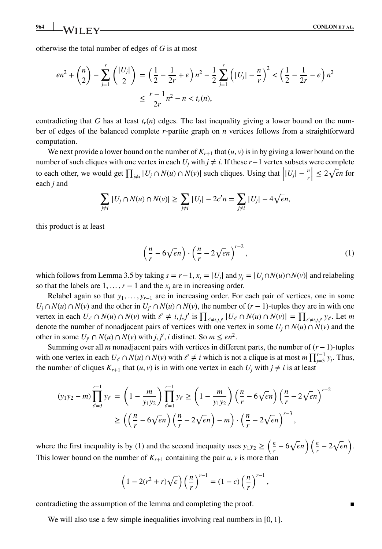otherwise the total number of edges of *G* is at most

$$
\epsilon n^2 + {n \choose 2} - \sum_{j=1}^r { |U_j| \choose 2} = \left(\frac{1}{2} - \frac{1}{2r} + \epsilon\right) n^2 - \frac{1}{2} \sum_{j=1}^r \left(|U_j| - \frac{n}{r}\right)^2 < \left(\frac{1}{2} - \frac{1}{2r} - \epsilon\right) n^2
$$
  

$$
\leq \frac{r-1}{2r} n^2 - n < t_r(n),
$$

contradicting that *G* has at least  $t_r(n)$  edges. The last inequality giving a lower bound on the number of edges of the balanced complete *r*-partite graph on *n* vertices follows from a straightforward computation.

We next provide a lower bound on the number of  $K_{r+1}$  that  $(u, v)$  is in by giving a lower bound on the number of such cliques with one vertex in each  $U_i$  with  $j \neq i$ . If these  $r-1$  vertex subsets were complete to each other, we would get  $\prod_{j\neq i} |U_j \cap N(u) \cap N(v)|$  such cliques. Using that  $\left| |U_j| - \frac{n}{r} \right| \leq 2\sqrt{\epsilon n}$  for each *j* and | each *j* and

$$
\sum_{j\neq i} |U_j \cap N(u) \cap N(v)| \ge \sum_{j\neq i} |U_j| - 2c'n = \sum_{j\neq i} |U_j| - 4\sqrt{\epsilon}n,
$$

this product is at least

$$
\left(\frac{n}{r} - 6\sqrt{\epsilon}n\right) \cdot \left(\frac{n}{r} - 2\sqrt{\epsilon}n\right)^{r-2},\tag{1}
$$

which follows from Lemma 3.5 by taking  $s = r - 1$ ,  $x_j = |U_j|$  and  $y_j = |U_j \cap N(u) \cap N(v)|$  and relabeling so that the labels are  $1, \ldots, r-1$  and the  $x_i$  are in increasing order.

Relabel again so that  $y_1, \ldots, y_{r-1}$  are in increasing order. For each pair of vertices, one in some *U<sub>j</sub>* ∩ *N*(*u*) ∩ *N*(*v*) and the other in *U<sub>j</sub>*′ ∩ *N*(*u*) ∩ *N*(*v*), the number of (*r* − 1)-tuples they are in with one vertex in each  $U_{\ell} \cap N(u) \cap N(v)$  with  $\ell \neq i, j, j'$  is  $\prod_{\ell \neq i, j, j'} |U_{\ell} \cap N(u) \cap N(v)| = \prod_{\ell \neq i, j, j'} y_{\ell}$ . Let m denote the number of nonadjacent pairs of vertices with one vertex in some  $U_i \cap N(u) \cap N(v)$  and the other in some *U<sub>j</sub>*<sup> $\cap$ </sup>  $N(u)$  ∩  $N(v)$  with *j*, *j*<sup> $\prime$ </sup>, *i* distinct. So *m* ≤  $\epsilon n^2$ .

Summing over all *m* nonadjacent pairs with vertices in different parts, the number of (*r*−1)-tuples with one vertex in each  $U_{\ell} \cap N(u) \cap N(v)$  with  $\ell \neq i$  which is not a clique is at most  $m \prod_{j=3}^{r-1} y_j$ . Thus, the number of cliques  $K_{r+1}$  that  $(u, v)$  is in with one vertex in each  $U_i$  with  $j \neq i$  is at least

$$
(y_1y_2 - m)\prod_{\ell=3}^{r-1} y_\ell = \left(1 - \frac{m}{y_1y_2}\right)\prod_{\ell=1}^{r-1} y_\ell \ge \left(1 - \frac{m}{y_1y_2}\right)\left(\frac{n}{r} - 6\sqrt{\epsilon n}\right)\left(\frac{n}{r} - 2\sqrt{\epsilon n}\right)^{r-2}
$$

$$
\ge \left(\left(\frac{n}{r} - 6\sqrt{\epsilon n}\right)\left(\frac{n}{r} - 2\sqrt{\epsilon n}\right) - m\right) \cdot \left(\frac{n}{r} - 2\sqrt{\epsilon n}\right)^{r-3},
$$

where the first inequality is by (1) and the second inequaity uses  $y_1y_2 \geq \left(\frac{n}{r} - 6\sqrt{\epsilon}n\right)\left(\frac{n}{r} - 2\sqrt{\epsilon}n\right)$ . This lower bound on the number of  $K_{r+1}$  containing the pair *u*, *v* is more than

$$
\left(1 - 2(r^2 + r)\sqrt{\epsilon}\right) \left(\frac{n}{r}\right)^{r-1} = (1 - c)\left(\frac{n}{r}\right)^{r-1},
$$

contradicting the assumption of the lemma and completing the proof.

We will also use a few simple inequalities involving real numbers in [0*,* 1].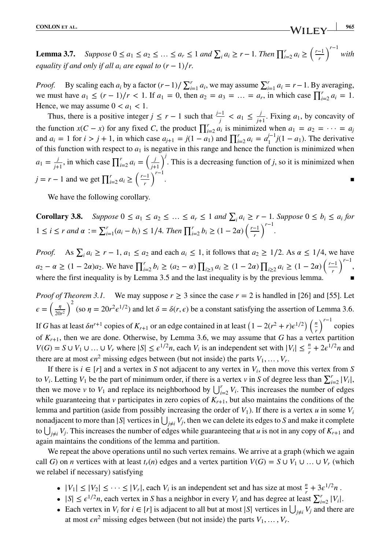**Lemma 3.7.** *Suppose*  $0 \le a_1 \le a_2 \le ... \le a_r \le 1$  *and*  $\sum_i a_i \ge r - 1$ *. Then*  $\prod_{i=2}^r a_i \ge \left(\frac{r-1}{r}\right)$ *r*  $\int$ <sup>r−1</sup> with *equality if and only if all*  $a_i$  *are equal to*  $(r - 1)/r$ .

*Proof.* By scaling each  $a_i$  by a factor  $(r-1)/\sum_{i=1}^r a_i$ , we may assume  $\sum_{i=1}^r a_i = r-1$ . By averaging, we must have  $a_1 \le (r-1)/r < 1$ . If  $a_1 = 0$ , then  $a_2 = a_3 = ... = a_r$ , in which case  $\prod_{i=2}^r a_i = 1$ . Hence, we may assume  $0 < a_1 < 1$ .

Thus, there is a positive integer  $j \le r - 1$  such that  $\frac{j-1}{j} < a_1 \le \frac{j}{j+1}$ . Fixing  $a_1$ , by concavity of the function  $x(C - x)$  for any fixed *C*, the product  $\prod_{i=2}^{r} a_i$  is minimized when  $a_1 = a_2 = \cdots = a_j$ and  $a_i = 1$  for  $i > j + 1$ , in which case  $a_{j+1} = j(1 - a_1)$  and  $\prod_{i=2}^{r} a_i = a_1^{j-1}j(1 - a_1)$ . The derivative of this function with respect to  $a_1$  is negative in this range and hence the function is minimized when  $a_1 = \frac{j}{j+1}$ , in which case  $\prod_{i=2}^{r} a_i = \left(\frac{j}{j+1}\right)$ *j*+1  $\int$ <sup>*j*</sup>. This is a decreasing function of *j*, so it is minimized when *j* = *r* − 1 and we get  $\prod_{i=2}^{r} a_i$  ≥  $\left(\frac{r-1}{r}\right)$ *r* )*<sup>r</sup>*−<sup>1</sup> . ▪

We have the following corollary.

**Corollary 3.8.** *Suppose*  $0 \le a_1 \le a_2 \le ... \le a_r \le 1$  *and*  $\sum_i a_i \ge r - 1$ *. Suppose*  $0 \le b_i \le a_i$  *for*  $1 \le i \le r$  *and*  $\alpha := \sum_{i=1}^r (a_i - b_i) \le 1/4$ *. Then*  $\prod_{i=2}^r b_i \ge (1 - 2\alpha) \left( \frac{r-1}{r} \right)$ *r* )*<sup>r</sup>*−<sup>1</sup> *.*

*Proof.* As  $\sum_i a_i \ge r - 1$ ,  $a_1 \le a_2$  and each  $a_i \le 1$ , it follows that  $a_2 \ge 1/2$ . As  $\alpha \le 1/4$ , we have *a*<sub>2</sub> −  $\alpha$  ≥ (1 − 2 $\alpha$ ) $a_2$ . We have  $\prod_{i=2}^r b_i$  ≥ ( $a_2 - \alpha$ )  $\prod_{i\geq 3} a_i$  ≥ (1 − 2 $\alpha$ )  $\prod_{i\geq 2} a_i$  ≥ (1 − 2 $\alpha$ )  $\left(\frac{r-1}{r}\right)$ *r* )*<sup>r</sup>*−<sup>1</sup> , where the first inequality is by Lemma 3.5 and the last inequality is by the previous lemma.

*Proof of Theorem 3.1.* We may suppose  $r \geq 3$  since the case  $r = 2$  is handled in [26] and [55]. Let  $\epsilon = \left(\frac{\eta}{20}\right)$ 20*r*<sup>2</sup>  $\int_{0}^{2}$  (so  $\eta = 20r^{2}\epsilon^{1/2}$ ) and let  $\delta = \delta(r, \epsilon)$  be a constant satisfying the assertion of Lemma 3.6.  $\int^{r-1}$  copies

If *G* has at least  $\delta n^{r+1}$  copies of  $K_{r+1}$  or an edge contained in at least  $\left(1 - 2(r^2 + r)\epsilon^{1/2}\right)\left(\frac{n}{r}\right)$ of  $K_{r+1}$ , then we are done. Otherwise, by Lemma 3.6, we may assume that *G* has a vertex partition *V*(*G*) = *S* ∪ *V*<sub>1</sub> ∪ ... ∪ *V<sub>r</sub>* where  $|S| \le \epsilon^{1/2}n$ , each *V<sub>i</sub>* is an independent set with  $|V_i| \le \frac{n}{r} + 2\epsilon^{1/2}n$  and there are at most  $\epsilon n^2$  missing edges between (but not inside) the parts  $V_1, \ldots, V_r$ .

If there is  $i \in [r]$  and a vertex in *S* not adjacent to any vertex in  $V_i$ , then move this vertex from *S* to *V<sub>i</sub>*. Letting *V*<sub>1</sub> be the part of minimum order, if there is a vertex *v* in *S* of degree less than  $\sum_{i=2}^{r} |V_i|$ , then we move *v* to  $V_1$  and replace its neighborhood by  $\bigcup_{i=2}^{r} V_i$ . This increases the number of edges while guaranteeing that  $\nu$  participates in zero copies of  $K_{r+1}$ , but also maintains the conditions of the lemma and partition (aside from possibly increasing the order of  $V_1$ ). If there is a vertex *u* in some  $V_i$ nonadjacent to more than  $|S|$  vertices in  $\bigcup_{j\neq i} V_j$ , then we can delete its edges to *S* and make it complete to  $\bigcup_{j\neq i} V_j$ . This increases the number of edges while guaranteeing that *u* is not in any copy of  $K_{r+1}$  and again maintains the conditions of the lemma and partition.

We repeat the above operations until no such vertex remains. We arrive at a graph (which we again call *G*) on *n* vertices with at least  $t_r(n)$  edges and a vertex partition  $V(G) = S \cup V_1 \cup ... \cup V_r$  (which we relabel if necessary) satisfying

- $|V_1| \leq |V_2| \leq \cdots \leq |V_r|$ , each  $V_i$  is an independent set and has size at most  $\frac{n}{r} + 3\epsilon^{1/2}n$ .
- $|S| \le \epsilon^{1/2}n$ , each vertex in *S* has a neighbor in every *V<sub>i</sub>* and has degree at least  $\sum_{i=2}^{r} |V_i|$ .
- Each vertex in *V<sub>i</sub>* for  $i \in [r]$  is adjacent to all but at most  $|S|$  vertices in  $\bigcup_{j \neq i} V_j$  and there are at most  $\epsilon n^2$  missing edges between (but not inside) the parts  $V_1, \ldots, V_r$ .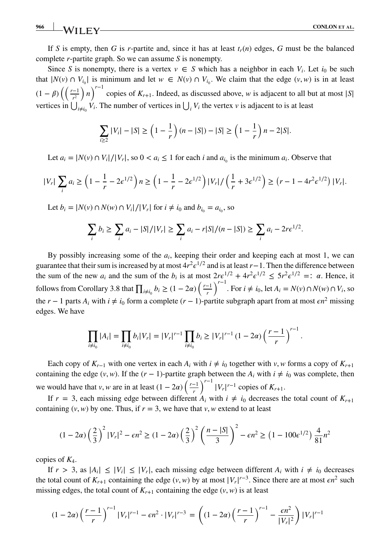If *S* is empty, then *G* is *r*-partite and, since it has at least  $t_r(n)$  edges, *G* must be the balanced complete *r*-partite graph. So we can assume *S* is nonempty.

Since *S* is nonempty, there is a vertex  $v \in S$  which has a neighbor in each  $V_i$ . Let  $i_0$  be such that  $|N(v) \cap V_{i_0}|$  is minimum and let  $w \in N(v) \cap V_{i_0}$ . We claim that the edge  $(v, w)$  is in at least  $(1 - \beta) \left( \frac{r-1}{r^2} \right)$ *r*2  $\binom{n}{r}$ <sup>*r*−1</sup> copies of *K<sub>r+1</sub>*. Indeed, as discussed above, *w* is adjacent to all but at most |*S*| vertices in  $\bigcup_{i \neq i_0} V_i$ . The number of vertices in  $\bigcup_i V_i$  the vertex *v* is adjacent to is at least

$$
\sum_{i\geq 2} |V_i| - |S| \geq \left(1 - \frac{1}{r}\right)(n - |S|) - |S| \geq \left(1 - \frac{1}{r}\right)n - 2|S|.
$$

Let  $a_i = |N(v) \cap V_i|/|V_r|$ , so  $0 < a_i \le 1$  for each *i* and  $a_{i_0}$  is the minimum  $a_i$ . Observe that

$$
|V_r| \sum_i a_i \ge \left(1 - \frac{1}{r} - 2\epsilon^{1/2}\right) n \ge \left(1 - \frac{1}{r} - 2\epsilon^{1/2}\right) |V_r| / \left(\frac{1}{r} + 3\epsilon^{1/2}\right) \ge \left(r - 1 - 4r^2\epsilon^{1/2}\right) |V_r|.
$$

Let *b<sub>i</sub>* = |*N*(*v*) ∩ *N*(*w*) ∩ *V<sub>i</sub>*|/|*V<sub>r</sub>*| for *i* ≠ *i*<sub>0</sub> and *b*<sub>*i*<sub>0</sub></sub> = *a<sub>i<sub>0</sub>*, so</sub>

$$
\sum_{i} b_i \ge \sum_{i} a_i - |S|/|V_r| \ge \sum_{i} a_i - r|S|/(n-|S|) \ge \sum_{i} a_i - 2re^{1/2}.
$$

By possibly increasing some of the *ai*, keeping their order and keeping each at most 1, we can guarantee that their sum is increased by at most  $4r^2e^{1/2}$  and is at least *r*−1. Then the difference between the sum of the new  $a_i$  and the sum of the  $b_i$  is at most  $2re^{1/2} + 4r^2e^{1/2} \le 5r^2e^{1/2} =$ :  $\alpha$ . Hence, it follows from Corollary 3.8 that  $\prod_{i \neq i_0} b_i \geq (1 - 2\alpha) \left(\frac{r-1}{r}\right)$ *r*  $\int^{r-1}$ . For *i* ≠ *i*<sub>0</sub>, let *A<sub>i</sub>* = *N*(*v*) ∩ *N*(*w*) ∩ *V<sub>i</sub>*, so the  $r - 1$  parts  $A_i$  with  $i \neq i_0$  form a complete  $(r - 1)$ -partite subgraph apart from at most  $\epsilon n^2$  missing edges. We have

$$
\prod_{i\neq i_0} |A_i| = \prod_{i\neq i_0} b_i |V_r| = |V_r|^{r-1} \prod_{i\neq i_0} b_i \ge |V_r|^{r-1} (1-2\alpha) \left(\frac{r-1}{r}\right)^{r-1}.
$$

Each copy of  $K_{r-1}$  with one vertex in each  $A_i$  with  $i \neq i_0$  together with *v*, *w* forms a copy of  $K_{r+1}$ containing the edge  $(v, w)$ . If the  $(r - 1)$ -partite graph between the  $A_i$  with  $i \neq i_0$  was complete, then we would have that *v*, *w* are in at least  $(1 - 2\alpha) \left( \frac{r-1}{r} \right)$ *r*  $\int$ <sup>r−1</sup> |*V<sub>r</sub>*|<sup>r−1</sup> copies of *K<sub>r+1</sub>*.

If  $r = 3$ , each missing edge between different  $A_i$  with  $i \neq i_0$  decreases the total count of  $K_{r+1}$ containing  $(v, w)$  by one. Thus, if  $r = 3$ , we have that  $v, w$  extend to at least

$$
(1 - 2\alpha) \left(\frac{2}{3}\right)^2 |V_r|^2 - \epsilon n^2 \ge (1 - 2\alpha) \left(\frac{2}{3}\right)^2 \left(\frac{n - |S|}{3}\right)^2 - \epsilon n^2 \ge (1 - 100\epsilon^{1/2}) \frac{4}{81} n^2
$$

copies of *K*4.

If  $r > 3$ , as  $|A_i| \leq |V_i| \leq |V_r|$ , each missing edge between different  $A_i$  with  $i \neq i_0$  decreases the total count of  $K_{r+1}$  containing the edge  $(v, w)$  by at most  $|V_r|^{r-3}$ . Since there are at most  $\epsilon n^2$  such missing edges, the total count of  $K_{r+1}$  containing the edge  $(v, w)$  is at least

$$
(1-2\alpha)\left(\frac{r-1}{r}\right)^{r-1}|V_r|^{r-1} - \epsilon n^2 \cdot |V_r|^{r-3} = \left((1-2\alpha)\left(\frac{r-1}{r}\right)^{r-1} - \frac{\epsilon n^2}{|V_r|^2}\right)|V_r|^{r-1}
$$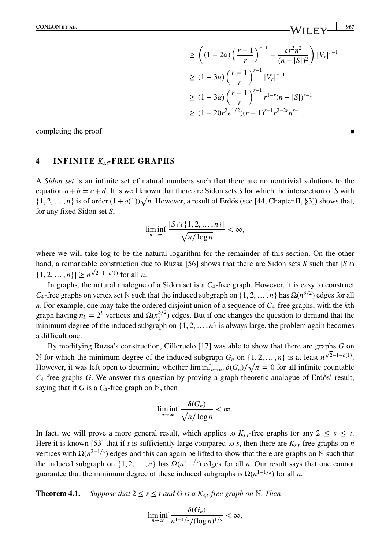$$
\geq \left( (1 - 2\alpha) \left( \frac{r - 1}{r} \right)^{r - 1} - \frac{\epsilon r^2 n^2}{(n - |S|)^2} \right) |V_r|^{r - 1}
$$
  
\n
$$
\geq (1 - 3\alpha) \left( \frac{r - 1}{r} \right)^{r - 1} |V_r|^{r - 1}
$$
  
\n
$$
\geq (1 - 3\alpha) \left( \frac{r - 1}{r} \right)^{r - 1} r^{1 - r} (n - |S|)^{r - 1}
$$
  
\n
$$
\geq (1 - 20r^2 \epsilon^{1/2}) (r - 1)^{r - 1} r^{2 - 2r} n^{r - 1},
$$

completing the proof.

### **4 INFINITE** *Ks,t***-FREE GRAPHS**

A *Sidon set* is an infinite set of natural numbers such that there are no nontrivial solutions to the equation  $a + b = c + d$ . It is well known that there are Sidon sets *S* for which the intersection of *S* with  $\{1, 2, \ldots, n\}$  is of order  $(1+o(1))\sqrt{n}$ . However, a result of Erdős (see [44, Chapter II, §3]) shows that, for any fixed Sidon set *S*,

$$
\liminf_{n\to\infty}\frac{|S\cap\{1,2,\ldots,n\}|}{\sqrt{n/\log n}}<\infty,
$$

where we will take log to be the natural logarithm for the remainder of this section. On the other hand, a remarkable construction due to Ruzsa [56] shows that there are Sidon sets *<sup>S</sup>* such that <sup>|</sup>*<sup>S</sup>* <sup>∩</sup>  $\{1, 2, ..., n\}$ | ≥  $n^{\sqrt{2}-1+o(1)}$  for all *n*.

In graphs, the natural analogue of a Sidon set is a *C*4-free graph. However, it is easy to construct *C*<sub>4</sub>-free graphs on vertex set N such that the induced subgraph on {1, 2, …, *n*} has  $\Omega(n^{3/2})$  edges for all *n*. For example, one may take the ordered disjoint union of a sequence of *C*4-free graphs, with the *k*th graph having  $n_k = 2^k$  vertices and  $\Omega(n_k^{3/2})$  edges. But if one changes the question to demand that the minimum degree of the induced subgraph on  $\{1, 2, \ldots, n\}$  is always large, the problem again becomes a difficult one.

By modifying Ruzsa's construction, Cilleruelo [17] was able to show that there are graphs *G* on N for which the minimum degree of the induced subgraph  $G_n$  on  $\{1, 2, \ldots, n\}$  is at least  $n^{\sqrt{2}-1+o(1)}$ . However, it was left open to determine whether  $\liminf_{n\to\infty} \delta(G_n)/\sqrt{n} = 0$  for all infinite countable  $C_4$ -free graphs *G*. We answer this question by proving a graph-theoretic analogue of Erdős' result, saying that if *G* is a  $C_4$ -free graph on N, then

$$
\liminf_{n\to\infty}\frac{\delta(G_n)}{\sqrt{n/\log n}}<\infty.
$$

In fact, we will prove a more general result, which applies to  $K_{s,t}$ -free graphs for any  $2 \leq s \leq t$ . Here it is known [53] that if *t* is sufficiently large compared to *s*, then there are  $K_{s,t}$ -free graphs on *n* vertices with  $\Omega(n^{2-1/s})$  edges and this can again be lifted to show that there are graphs on N such that the induced subgraph on  $\{1, 2, \ldots, n\}$  has  $\Omega(n^{2-1/s})$  edges for all *n*. Our result says that one cannot guarantee that the minimum degree of these induced subgraphs is  $\Omega(n^{1-1/s})$  for all *n*.

**Theorem 4.1.** *Suppose that*  $2 \leq s \leq t$  *and G is a*  $K_{st}$ *-free graph on* N*. Then* 

$$
\liminf_{n\to\infty}\frac{\delta(G_n)}{n^{1-1/s}/(\log n)^{1/s}}<\infty,
$$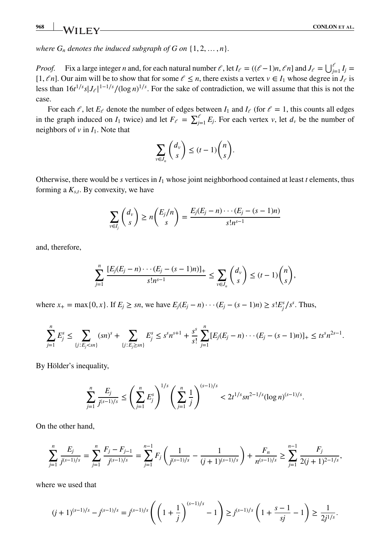*where*  $G_n$  *denotes the induced subgraph of*  $G$  *on*  $\{1, 2, ..., n\}$ *.* 

*Proof.* Fix a large integer *n* and, for each natural number  $\ell$ , let  $I_{\ell} = ((\ell-1)n, \ell n]$  and  $J_{\ell} = \bigcup_{j=1}^{\ell} I_j =$ [1,  $\ell n$ ]. Our aim will be to show that for some  $\ell \leq n$ , there exists a vertex  $v \in I_1$  whose degree in  $J_\ell$  is less than  $16t^{1/s}s|J_{\ell}|^{1-1/s}/(\log n)^{1/s}$ . For the sake of contradiction, we will assume that this is not the case.

For each  $\ell$ , let  $E_{\ell}$  denote the number of edges between  $I_1$  and  $I_{\ell}$  (for  $\ell = 1$ , this counts all edges in the graph induced on  $I_1$  twice) and let  $F_e = \sum_{j=1}^e E_j$ . For each vertex *v*, let  $d_v$  be the number of neighbors of  $v$  in  $I_1$ . Note that

$$
\sum_{v \in J_n} \binom{d_v}{s} \le (t-1) \binom{n}{s}.
$$

Otherwise, there would be *s* vertices in  $I_1$  whose joint neighborhood contained at least *t* elements, thus forming a  $K_{s,t}$ . By convexity, we have

$$
\sum_{v \in I_j} \binom{d_v}{s} \ge n \binom{E_j/n}{s} = \frac{E_j(E_j - n) \cdots (E_j - (s-1)n)}{s! n^{s-1}}
$$

and, therefore,

$$
\sum_{j=1}^n \frac{[E_j(E_j - n) \cdots (E_j - (s-1)n)]_+}{s! n^{s-1}} \le \sum_{v \in J_n} \binom{d_v}{s} \le (t-1) \binom{n}{s},
$$

where *x*<sub>+</sub> = max{0, *x*}. If *E<sub>j</sub>* ≥ *sn*, we have  $E_j(E_j - n) \cdots (E_j - (s - 1)n) \ge s! E_j^s / s^s$ . Thus,

$$
\sum_{j=1}^n E_j^s \leq \sum_{\{j: E_j < sn\}} (sn)^s + \sum_{\{j: E_j \geq sn\}} E_j^s \leq s^s n^{s+1} + \frac{s^s}{s!} \sum_{j=1}^n [E_j(E_j - n) \cdots (E_j - (s-1)n)]_+ \leq ts^s n^{2s-1}.
$$

By Hölder's inequality,

$$
\sum_{j=1}^n \frac{E_j}{j^{(s-1)/s}} \le \left(\sum_{j=1}^n E_j^s\right)^{1/s} \left(\sum_{j=1}^n \frac{1}{j}\right)^{(s-1)/s} < 2t^{1/s} sn^{2-1/s} (\log n)^{(s-1)/s}.
$$

On the other hand,

$$
\sum_{j=1}^n \frac{E_j}{j^{(s-1)/s}} = \sum_{j=1}^n \frac{F_j - F_{j-1}}{j^{(s-1)/s}} = \sum_{j=1}^{n-1} F_j \left( \frac{1}{j^{(s-1)/s}} - \frac{1}{(j+1)^{(s-1)/s}} \right) + \frac{F_n}{n^{(s-1)/s}} \ge \sum_{j=1}^{n-1} \frac{F_j}{2(j+1)^{2-1/s}},
$$

where we used that

$$
(j+1)^{(s-1)/s} - j^{(s-1)/s} = j^{(s-1)/s} \left( \left( 1 + \frac{1}{j} \right)^{(s-1)/s} - 1 \right) \ge j^{(s-1)/s} \left( 1 + \frac{s-1}{sj} - 1 \right) \ge \frac{1}{2j^{1/s}}.
$$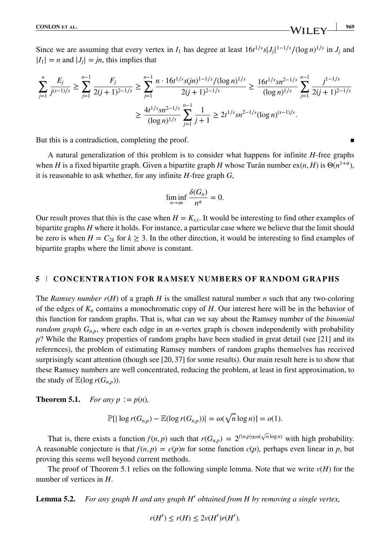Since we are assuming that every vertex in *I*<sub>1</sub> has degree at least  $16t^{1/s}s|J_j|^{1-1/s}/(\log n)^{1/s}$  in *J<sub>j</sub>* and  $|J_j|^{1-1/s}$  $|I_1| = n$  and  $|J_i| = jn$ , this implies that

$$
\sum_{j=1}^{n} \frac{E_j}{j^{(s-1)/s}} \ge \sum_{j=1}^{n-1} \frac{F_j}{2(j+1)^{2-1/s}} \ge \sum_{j=1}^{n-1} \frac{n \cdot 16t^{1/s} s(jn)^{1-1/s} / (\log n)^{1/s}}{2(j+1)^{2-1/s}} \ge \frac{16t^{1/s} s n^{2-1/s}}{(\log n)^{1/s}} \sum_{j=1}^{n-1} \frac{j^{1-1/s}}{2(j+1)^{2-1/s}}
$$

$$
\ge \frac{4t^{1/s} s n^{2-1/s}}{(\log n)^{1/s}} \sum_{j=1}^{n-1} \frac{1}{j+1} \ge 2t^{1/s} s n^{2-1/s} (\log n)^{(s-1)/s}.
$$

But this is a contradiction, completing the proof.

A natural generalization of this problem is to consider what happens for infinite *H*-free graphs when *H* is a fixed bipartite graph. Given a bipartite graph *H* whose Turán number  $ex(n, H)$  is  $\Theta(n^{1+\alpha})$ , it is reasonable to ask whether, for any infinite *H*-free graph *G*,

$$
\liminf_{n\to\infty}\frac{\delta(G_n)}{n^{\alpha}}=0.
$$

Our result proves that this is the case when  $H = K<sub>s,t</sub>$ . It would be interesting to find other examples of bipartite graphs *H* where it holds. For instance, a particular case where we believe that the limit should be zero is when  $H = C_{2k}$  for  $k \geq 3$ . In the other direction, it would be interesting to find examples of bipartite graphs where the limit above is constant.

#### **5 CONCENTRATION FOR RAMSEY NUMBERS OF RANDOM GRAPHS**

The *Ramsey number r*(*H*) of a graph *H* is the smallest natural number *n* such that any two-coloring of the edges of  $K_n$  contains a monochromatic copy of  $H$ . Our interest here will be in the behavior of this function for random graphs. That is, what can we say about the Ramsey number of the *binomial random graph*  $G_{n,p}$ , where each edge in an *n*-vertex graph is chosen independently with probability *p*? While the Ramsey properties of random graphs have been studied in great detail (see [21] and its references), the problem of estimating Ramsey numbers of random graphs themselves has received surprisingly scant attention (though see [20,37] for some results). Our main result here is to show that these Ramsey numbers are well concentrated, reducing the problem, at least in first approximation, to the study of  $\mathbb{E}(\log r(G_{n,p}))$ .

**Theorem 5.1.** *For any p* :=  $p(n)$ *,* 

$$
\mathbb{P}\left[\left|\log r(G_{n,p}) - \mathbb{E}(\log r(G_{n,p}))\right| = \omega(\sqrt{n}\log n)\right] = o(1).
$$

That is, there exists a function  $f(n, p)$  such that  $r(G_{n,p}) = 2^{f(n,p) \pm \omega(\sqrt{n} \log n)}$  with high probability. A reasonable conjecture is that  $f(n, p) = c(p)n$  for some function  $c(p)$ , perhaps even linear in p, but proving this seems well beyond current methods.

The proof of Theorem 5.1 relies on the following simple lemma. Note that we write  $v(H)$  for the number of vertices in *H*.

**Lemma 5.2.** *For any graph H and any graph H*′ *obtained from H by removing a single vertex,*

$$
r(H') \le r(H) \le 2\nu(H')r(H').
$$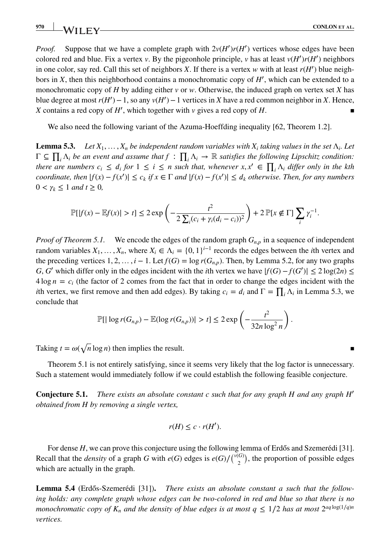*Proof.* Suppose that we have a complete graph with  $2v(H')r(H')$  vertices whose edges have been colored red and blue. Fix a vertex *v*. By the pigeonhole principle, *v* has at least  $v(H')r(H')$  neighbors in one color, say red. Call this set of neighbors *X*. If there is a vertex *w* with at least  $r(H')$  blue neighbors in *X*, then this neighborhood contains a monochromatic copy of *H*′ , which can be extended to a monochromatic copy of *H* by adding either *v* or *w*. Otherwise, the induced graph on vertex set *X* has blue degree at most  $r(H') - 1$ , so any  $v(H') - 1$  vertices in *X* have a red common neighbor in *X*. Hence, *X* contains a red copy of *H'*, which together with *v* gives a red copy of *H*.

We also need the following variant of the Azuma-Hoeffding inequality [62, Theorem 1.2].

**Lemma 5.3.** *Let*  $X_1, \ldots, X_n$  *be independent random variables with*  $X_i$  *taking values in the set*  $\Lambda_i$ *. Let*  $\Gamma \subseteq \prod_i \Lambda_i$  be an event and assume that  $f : \prod_i \Lambda_i \to \mathbb{R}$  satisfies the following Lipschitz condition: *there are numbers*  $c_i \leq d_i$  *for*  $1 \leq i \leq n$  *such that, whenever*  $x, x' \in \prod_i \Lambda_i$  *differ only in the kth coordinate, then*  $|f(x) - f(x')| \le c_k$  *if*  $x \in \Gamma$  *and*  $|f(x) - f(x')| \le d_k$  *otherwise. Then, for any numbers*  $0 < \gamma_k \leq 1$  *and*  $t \geq 0$ *,* 

$$
\mathbb{P}[\left|f(x) - \mathbb{E}f(x)\right| > t] \leq 2 \exp\left(-\frac{t^2}{2\sum_i (c_i + \gamma_i(d_i - c_i))^2}\right) + 2\mathbb{P}[x \notin \Gamma] \sum_i \gamma_i^{-1}.
$$

*Proof of Theorem 5.1.* We encode the edges of the random graph  $G_{n,p}$  in a sequence of independent random variables  $X_1, \ldots, X_n$ , where  $X_i \in \Lambda_i = \{0, 1\}^{i-1}$  records the edges between the *i*th vertex and the preceding vertices  $1, 2, \ldots, i - 1$ . Let  $f(G) = \log r(G_{n,p})$ . Then, by Lemma 5.2, for any two graphs *G*, *G*<sup> $\prime$ </sup> which differ only in the edges incident with the *i*th vertex we have  $|f(G) - f(G')| \le 2 \log(2n) \le$  $4 \log n = c_i$  (the factor of 2 comes from the fact that in order to change the edges incident with the *i*th vertex, we first remove and then add edges). By taking  $c_i = d_i$  and  $\Gamma = \prod_i \Lambda_i$  in Lemma 5.3, we conclude that

$$
\mathbb{P}\left[\left|\log r(G_{n,p}) - \mathbb{E}(\log r(G_{n,p}))\right| > t\right] \leq 2\exp\left(-\frac{t^2}{32n\log^2 n}\right).
$$

Taking  $t = \omega(\sqrt{n} \log n)$  then implies the result.

Theorem 5.1 is not entirely satisfying, since it seems very likely that the log factor is unnecessary. Such a statement would immediately follow if we could establish the following feasible conjecture.

**Conjecture 5.1.** *There exists an absolute constant c such that for any graph H and any graph H*′ *obtained from H by removing a single vertex,*

$$
r(H) \leq c \cdot r(H').
$$

For dense *H*, we can prove this conjecture using the following lemma of Erdős and Szemerédi [31]. Recall that the *density* of a graph *G* with  $e(G)$  edges is  $e(G)/{\binom{v(G)}{2}}$ , the proportion of possible edges which are actually in the graph.

**Lemma 5.4** (Erdős-Szemerédi [31]). There exists an absolute constant a such that the follow*ing holds: any complete graph whose edges can be two-colored in red and blue so that there is no monochromatic copy of K<sub>n</sub> and the density of blue edges is at most*  $q \leq 1/2$  *has at most*  $2^{aq \log(1/q)n}$ *vertices.*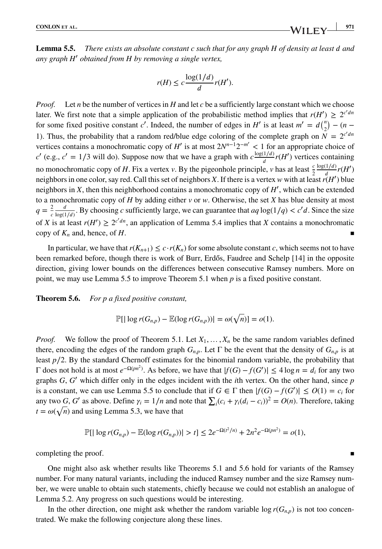**Lemma 5.5.** *There exists an absolute constant c such that for any graph H of density at least and any graph H*′ *obtained from H by removing a single vertex,*

$$
r(H) \le c \frac{\log(1/d)}{d} r(H').
$$

*Proof.* Let *n* be the number of vertices in *H* and let *c* be a sufficiently large constant which we choose later. We first note that a simple application of the probabilistic method implies that  $r(H') \geq 2^{c'dn}$ for some fixed positive constant *c'*. Indeed, the number of edges in *H'* is at least  $m' = d{n \choose 2} - (n - 1)$ 1). Thus, the probability that a random red/blue edge coloring of the complete graph on  $N = 2^{c'dn}$ vertices contains a monochromatic copy of *H*′ is at most 2*N<sup>n</sup>*−12−*m*′ *<* 1 for an appropriate choice of *c*' (e.g., *c'* = 1/3 will do). Suppose now that we have a graph with  $c \frac{\log(1/d)}{d} r(H')$  vertices containing no monochromatic copy of *H*. Fix a vertex *v*. By the pigeonhole principle, *v* has at least  $\frac{c}{2}$  $\frac{\log(1/d)}{d}r(H')$ neighbors in one color, say red. Call this set of neighbors *X*. If there is a vertex *w* with at least*r*(*H*′ ) blue neighbors in *X*, then this neighborhood contains a monochromatic copy of *H*′ , which can be extended to a monochromatic copy of *H* by adding either *v* or *w*. Otherwise, the set *X* has blue density at most  $q = \frac{2}{c}$  $\boldsymbol{d}$  $\frac{d}{\log(1/d)}$ . By choosing *c* sufficiently large, we can guarantee that  $aq \log(1/q) < c'd$ . Since the size of *X* is at least  $r(H') \ge 2^{c'dn}$ , an application of Lemma 5.4 implies that *X* contains a monochromatic copy of  $K_n$  and, hence, of  $H$ .

In particular, we have that  $r(K_{n+1}) \leq c \cdot r(K_n)$  for some absolute constant *c*, which seems not to have been remarked before, though there is work of Burr, Erdős, Faudree and Schelp [14] in the opposite direction, giving lower bounds on the differences between consecutive Ramsey numbers. More on point, we may use Lemma 5.5 to improve Theorem 5.1 when *p* is a fixed positive constant.

**Theorem 5.6.** *For p a fixed positive constant,*

$$
\mathbb{P}\left[\left|\log r(G_{n,p}) - \mathbb{E}(\log r(G_{n,p}))\right| = \omega(\sqrt{n})\right] = o(1).
$$

*Proof.* We follow the proof of Theorem 5.1. Let  $X_1, \ldots, X_n$  be the same random variables defined there, encoding the edges of the random graph  $G_{n,p}$ . Let  $\Gamma$  be the event that the density of  $G_{n,p}$  is at least *p*∕2. By the standard Chernoff estimates for the binomial random variable, the probability that Γ does not hold is at most *e*−Ω(*pn*2) . As before, we have that <sup>|</sup>*f*(*G*) − *<sup>f</sup>*(*G*′ )<sup>|</sup> <sup>≤</sup> 4 log *<sup>n</sup>* <sup>=</sup> *<sup>i</sup>* for any two graphs *G*, *G*′ which differ only in the edges incident with the *i*th vertex. On the other hand, since *p* is a constant, we can use Lemma 5.5 to conclude that if  $G \in \Gamma$  then  $|f(G) - f(G')| \le O(1) = c_i$  for any two *G*, *G'* as above. Define  $\gamma_i = 1/n$  and note that  $\sum_i (c_i + \gamma_i(d_i - c_i))^2 = O(n)$ . Therefore, taking  $t = \omega(\sqrt{n})$  and using Lemma 5.3, we have that

$$
\mathbb{P}[|\log r(G_{n,p}) - \mathbb{E}(\log r(G_{n,p}))| > t] \leq 2e^{-\Omega(t^2/n)} + 2n^2e^{-\Omega(pn^2)} = o(1),
$$

completing the proof.

One might also ask whether results like Theorems 5.1 and 5.6 hold for variants of the Ramsey number. For many natural variants, including the induced Ramsey number and the size Ramsey number, we were unable to obtain such statements, chiefly because we could not establish an analogue of Lemma 5.2. Any progress on such questions would be interesting.

In the other direction, one might ask whether the random variable  $\log r(G_{n,p})$  is not too concentrated. We make the following conjecture along these lines.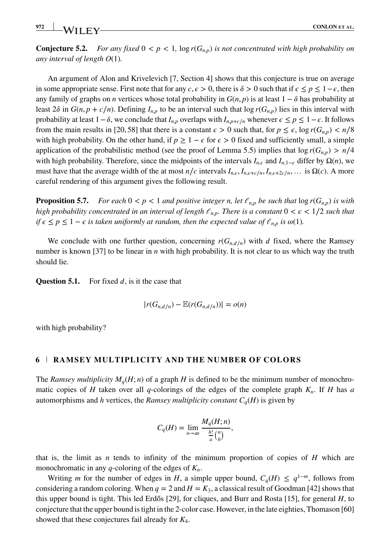**Conjecture 5.2.** *For any fixed*  $0 < p < 1$ ,  $\log r(G_{n,p})$  *is not concentrated with high probability on any interval of length O*(1)*.*

An argument of Alon and Krivelevich [7, Section 4] shows that this conjecture is true on average in some appropriate sense. First note that for any  $c, \epsilon > 0$ , there is  $\delta > 0$  such that if  $\epsilon \le p \le 1 - \epsilon$ , then any family of graphs on *n* vertices whose total probability in  $G(n, p)$  is at least  $1 - \delta$  has probability at least 2 $\delta$  in *G*(*n*, *p* + *c*/*n*). Defining  $I_{n,p}$  to be an interval such that log  $r(G_{n,p})$  lies in this interval with probability at least  $1-\delta$ , we conclude that  $I_{n,p}$  overlaps with  $I_{n,p+c/n}$  whenever  $\epsilon \le p \le 1-\epsilon$ . It follows from the main results in [20, 58] that there is a constant  $\epsilon > 0$  such that, for  $p \leq \epsilon$ , log  $r(G_{n,p}) < n/8$ with high probability. On the other hand, if  $p \ge 1 - \epsilon$  for  $\epsilon > 0$  fixed and sufficiently small, a simple application of the probabilistic method (see the proof of Lemma 5.5) implies that  $\log r(G_{n,p}) > n/4$ with high probability. Therefore, since the midpoints of the intervals  $I_{n,\epsilon}$  and  $I_{n,1-\epsilon}$  differ by  $\Omega(n)$ , we must have that the average width of the at most  $n/c$  intervals  $I_{n,\epsilon}, I_{n,\epsilon+c/n}, I_{n,\epsilon+2c/n}, \ldots$  is  $\Omega(c)$ . A more careful rendering of this argument gives the following result.

**Proposition 5.7.** *For each*  $0 < p < 1$  *and positive integer n, let*  $\ell_{n,p}$  *be such that*  $\log r(G_{n,p})$  *is with high probability concentrated in an interval of length*  $\ell_{n,p}$ *. There is a constant*  $0 < \epsilon < 1/2$  *such that if*  $\epsilon \leq p \leq 1 - \epsilon$  *is taken uniformly at random, then the expected value of*  $\ell_{n,p}$  *is*  $\omega(1)$ *.* 

We conclude with one further question, concerning  $r(G_{nd/n})$  with *d* fixed, where the Ramsey number is known [37] to be linear in *n* with high probability. It is not clear to us which way the truth should lie.

**Question 5.1.** For fixed  $d$ , is it the case that

$$
|r(G_{n,d/n})-\mathbb{E}(r(G_{n,d/n}))|=o(n)
$$

with high probability?

#### **6 RAMSEY MULTIPLICITY AND THE NUMBER OF COLORS**

The *Ramsey multiplicity*  $M_q(H; n)$  of a graph *H* is defined to be the minimum number of monochromatic copies of *H* taken over all *q*-colorings of the edges of the complete graph  $K_n$ . If *H* has *a* automorphisms and *h* vertices, the *Ramsey multiplicity constant*  $C_q(H)$  is given by

$$
C_q(H) = \lim_{n \to \infty} \frac{M_q(H; n)}{\frac{h!}{a} {n \choose h}},
$$

that is, the limit as *n* tends to infinity of the minimum proportion of copies of *H* which are monochromatic in any *q*-coloring of the edges of *Kn*.

Writing *m* for the number of edges in *H*, a simple upper bound,  $C_q(H) \leq q^{1-m}$ , follows from considering a random coloring. When  $q = 2$  and  $H = K_3$ , a classical result of Goodman [42] shows that this upper bound is tight. This led Erdős [29], for cliques, and Burr and Rosta [15], for general  $H$ , to conjecture that the upper bound is tight in the 2-color case. However, in the late eighties, Thomason [60] showed that these conjectures fail already for *K*4.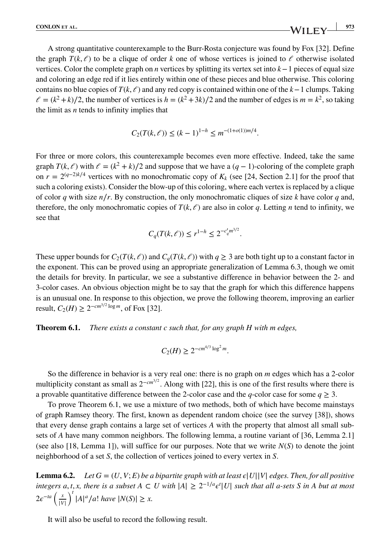A strong quantitative counterexample to the Burr-Rosta conjecture was found by Fox [32]. Define the graph  $T(k, \ell)$  to be a clique of order *k* one of whose vertices is joined to  $\ell$  otherwise isolated vertices. Color the complete graph on *n* vertices by splitting its vertex set into *k*−1 pieces of equal size and coloring an edge red if it lies entirely within one of these pieces and blue otherwise. This coloring contains no blue copies of  $T(k, \ell)$  and any red copy is contained within one of the  $k-1$  clumps. Taking  $\ell = (k^2 + k)/2$ , the number of vertices is  $h = (k^2 + 3k)/2$  and the number of edges is  $m = k^2$ , so taking the limit as *n* tends to infinity implies that

$$
C_2(T(k,\ell)) \le (k-1)^{1-h} \le m^{-(1+o(1))m/4}.
$$

For three or more colors, this counterexample becomes even more effective. Indeed, take the same graph  $T(k, \ell)$  with  $\ell = (k^2 + k)/2$  and suppose that we have a  $(q - 1)$ -coloring of the complete graph on  $r = 2^{(q-2)k/4}$  vertices with no monochromatic copy of  $K_k$  (see [24, Section 2.1] for the proof that such a coloring exists). Consider the blow-up of this coloring, where each vertex is replaced by a clique of color *q* with size *n*∕*r*. By construction, the only monochromatic cliques of size *k* have color *q* and, therefore, the only monochromatic copies of  $T(k, \ell)$  are also in color q. Letting *n* tend to infinity, we see that

$$
C_q(T(k, \ell)) \le r^{1-h} \le 2^{-c'_q m^{3/2}}.
$$

These upper bounds for  $C_2(T(k, \ell))$  and  $C_q(T(k, \ell))$  with  $q \geq 3$  are both tight up to a constant factor in the exponent. This can be proved using an appropriate generalization of Lemma 6.3, though we omit the details for brevity. In particular, we see a substantive difference in behavior between the 2- and 3-color cases. An obvious objection might be to say that the graph for which this difference happens is an unusual one. In response to this objection, we prove the following theorem, improving an earlier result,  $C_2(H)$  ≥  $2^{-cm^{3/2} \log m}$ , of Fox [32].

**Theorem 6.1.** *There exists a constant c such that, for any graph H with m edges,*

$$
C_2(H) \ge 2^{-cm^{4/3}\log^2 m}.
$$

So the difference in behavior is a very real one: there is no graph on *m* edges which has a 2-color multiplicity constant as small as  $2^{-cm^{3/2}}$ . Along with [22], this is one of the first results where there is a provable quantitative difference between the 2-color case and the *q*-color case for some  $q \geq 3$ .

To prove Theorem 6.1, we use a mixture of two methods, both of which have become mainstays of graph Ramsey theory. The first, known as dependent random choice (see the survey [38]), shows that every dense graph contains a large set of vertices *A* with the property that almost all small subsets of *A* have many common neighbors. The following lemma, a routine variant of [36, Lemma 2.1] (see also [18, Lemma 1]), will suffice for our purposes. Note that we write  $N(S)$  to denote the joint neighborhood of a set *S*, the collection of vertices joined to every vertex in *S*.

**Lemma 6.2.** *Let*  $G = (U, V; E)$  *be a bipartite graph with at least*  $\epsilon |U||V|$  *edges. Then, for all positive integers a, t, x, there is a subset*  $A ⊂ U$  *with*  $|A| ≥ 2^{-1/a} ε<sup>t</sup>|U|$  *such that all a-sets* S *in A but at most*  $2e^{-ta}\left(\frac{x}{16}\right)$ |*V*|  $\int_0^t |A|^a / a!$  *have*  $|N(S)| \ge x$ .

It will also be useful to record the following result.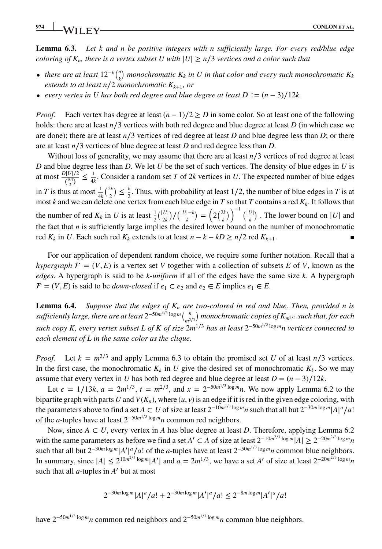**Lemma 6.3.** *Let k and n be positive integers with n sufficiently large. For every red/blue edge coloring of K<sub>n</sub>, there is a vertex subset U with*  $|U| \ge n/3$  *vertices and a color such that* 

- *there are at least*  $12^{-k} {n \choose k}$  *monochromatic*  $K_k$  *in U in that color and every such monochromatic*  $K_k$ *extends to at least n*/2 *monochromatic*  $K_{k+1}$ *, or*
- *every vertex in U has both red degree and blue degree at least*  $D := (n-3)/12k$ *.*

*Proof.* Each vertex has degree at least  $(n-1)/2 \ge D$  in some color. So at least one of the following holds: there are at least *n*∕3 vertices with both red degree and blue degree at least *D* (in which case we are done); there are at least  $n/3$  vertices of red degree at least *D* and blue degree less than *D*; or there are at least *n*∕3 vertices of blue degree at least *D* and red degree less than *D*.

Without loss of generality, we may assume that there are at least *n*∕3 vertices of red degree at least *D* and blue degree less than *D*. We let *U* be the set of such vertices. The density of blue edges in *U* is at most  $\frac{D|U|/2}{\binom{|U|}{2}} \leq \frac{1}{4k}$ . Consider a random set *T* of 2*k* vertices in *U*. The expected number of blue edges in *T* is thus at most  $\frac{1}{4k} {2k \choose 2} \le \frac{k}{2}$ . Thus, with probability at least 1/2, the number of blue edges in *T* is at most *k* and we can delete one vertex from each blue edge in *T* so that *T* contains a red *Kk*. It follows that the number of red  $K_k$  in *U* is at least  $\frac{1}{2} {|\binom{|U|}{2k}} / {\binom{|U| - k}{k}} = (2 \binom{2k}{k})^{-1} {\binom{|U|}{k}}$ . The lower bound on |*U*| and the fact that  $n$  is sufficiently large implies the desired lower bound on the number of monochromatic red  $K_k$  in *U*. Each such red  $K_k$  extends to at least  $n - k - kD \ge n/2$  red  $K_{k+1}$ .

For our application of dependent random choice, we require some further notation. Recall that a *hypergraph*  $F = (V, E)$  is a vertex set *V* together with a collection of subsets *E* of *V*, known as the *edges*. A hypergraph is said to be *k-uniform* if all of the edges have the same size *k*. A hypergraph  $\mathcal{F} = (V, E)$  is said to be *down-closed* if  $e_1 \subset e_2$  and  $e_2 \in E$  implies  $e_1 \in E$ .

**Lemma 6.4.** *Suppose that the edges of*  $K_n$  *are two-colored in red and blue. Then, provided n is sufficiently large, there are at least* 2<sup>−</sup>50*m*4∕<sup>3</sup> log *<sup>m</sup>*( *<sup>n</sup> m*2∕<sup>3</sup> ) *monochromatic copies of Km*2∕<sup>3</sup> *such that, for each such copy K, every vertex subset L of K of size* 2*m*<sup>1</sup>∕<sup>3</sup> *has at least* 2<sup>−</sup>50*m*1∕<sup>3</sup> log *mn vertices connected to each element of L in the same color as the clique.*

*Proof.* Let  $k = m^{2/3}$  and apply Lemma 6.3 to obtain the promised set *U* of at least  $n/3$  vertices. In the first case, the monochromatic  $K_k$  in *U* give the desired set of monochromatic  $K_k$ . So we may assume that every vertex in *U* has both red degree and blue degree at least  $D = (n - 3)/12k$ .

Let  $\epsilon = 1/13k$ ,  $a = 2m^{1/3}$ ,  $t = m^{2/3}$ , and  $x = 2^{-50m^{1/3} \log m}n$ . We now apply Lemma 6.2 to the bipartite graph with parts *U* and  $V(K_n)$ , where  $(u, v)$  is an edge if it is red in the given edge coloring, with the parameters above to find a set  $A \subset U$  of size at least  $2^{-10m^2/3} \log m_n$  such that all but  $2^{-30m \log m} |A|^a / a!$ of the *a*-tuples have at least 2<sup>−</sup>50*m*1∕<sup>3</sup> log *mn* common red neighbors.

Now, since *A ⊂ U*, every vertex in *A* has blue degree at least *D*. Therefore, applying Lemma 6.2 with the same parameters as before we find a set *A'*  $\subset$  *A* of size at least  $2^{-10m^{2/3} \log m} |A| \ge 2^{-20m^{2/3} \log m} n$ such that all but  $2^{-30m\log m}|A'|^a/a!$  of the *a*-tuples have at least  $2^{-50m^{1/3}\log m}n$  common blue neighbors. In summary, since  $|A| \le 2^{10m^2/3} \log^m |A'|$  and  $a = 2m^{1/3}$ , we have a set *A'* of size at least  $2^{-20m^{2/3} \log m}n$ such that all *a*-tuples in *A*′ but at most

$$
2^{-30m\log m}|A|^a/a! + 2^{-30m\log m}|A'|^a/a! \le 2^{-8m\log m}|A'|^a/a!
$$

have 2<sup>−</sup>50*m*1∕<sup>3</sup> log *mn* common red neighbors and 2<sup>−</sup>50*m*1∕<sup>3</sup> log *mn* common blue neighbors.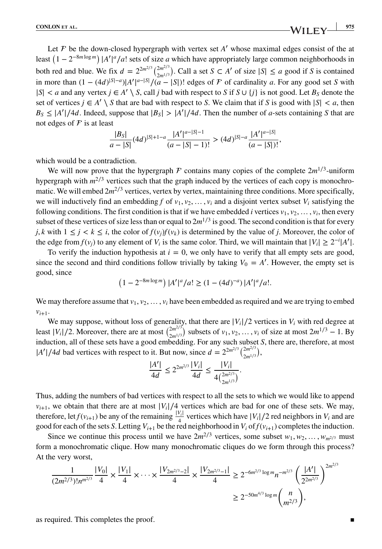Let  $F$  be the down-closed hypergraph with vertex set  $A'$  whose maximal edges consist of the at least  $(1 - 2^{-8m \log m}) |A'|^a / a!$  sets of size *a* which have appropriately large common neighborhoods in both red and blue. We fix  $d = 2^{2m^2/3} {2m^2/3 \choose 2m^{1/3}}$ . Call a set  $S \subset A'$  of size  $|S| \le a$  good if *S* is contained in more than  $(1 - (4d)^{|S| - a})|A'|^{a - |S|}/(a - |S|)!$  edges of *F* of cardinality *a*. For any good set *S* with  $|S| < a$  and any vertex  $j \in A' \setminus S$ , call *j* bad with respect to *S* if  $S \cup \{j\}$  is not good. Let  $B_S$  denote the set of vertices  $j \in A' \setminus S$  that are bad with respect to *S*. We claim that if *S* is good with  $|S| < a$ , then  $B_S \le |A'|/4d$ . Indeed, suppose that  $|B_S| > |A'|/4d$ . Then the number of *a*-sets containing *S* that are not edges of  $\mathcal F$  is at least

$$
\frac{|B_S|}{a-|S|}(4d)^{|S|+1-a}\frac{|A'|^{a-|S|-1}}{(a-|S|-1)!}>(4d)^{|S|-a}\frac{|A'|^{a-|S|}}{(a-|S|)!},
$$

which would be a contradiction.

We will now prove that the hypergraph  $\mathcal F$  contains many copies of the complete  $2m^{1/3}$ -uniform hypergraph with *m*<sup>2/3</sup> vertices such that the graph induced by the vertices of each copy is monochromatic. We will embed  $2m^{2/3}$  vertices, vertex by vertex, maintaining three conditions. More specifically, we will inductively find an embedding *f* of  $v_1, v_2, \ldots, v_i$  and a disjoint vertex subset  $V_i$  satisfying the following conditions. The first condition is that if we have embedded *i* vertices  $v_1, v_2, \ldots, v_i$ , then every subset of these vertices of size less than or equal to  $2m^{1/3}$  is good. The second condition is that for every *j*, *k* with  $1 \leq j \leq k \leq i$ , the color of  $f(v_j)f(v_k)$  is determined by the value of *j*. Moreover, the color of the edge from  $f(v_j)$  to any element of  $V_i$  is the same color. Third, we will maintain that  $|V_i| \ge 2^{-i}|A'|$ .

To verify the induction hypothesis at  $i = 0$ , we only have to verify that all empty sets are good, since the second and third conditions follow trivially by taking  $V_0 = A'$ . However, the empty set is good, since

$$
(1 - 2^{-8m \log m}) |A'|^a / a! \ge (1 - (4d)^{-a}) |A'|^a / a!.
$$

We may therefore assume that  $v_1, v_2, \ldots, v_i$  have been embedded as required and we are trying to embed  $v_{i+1}$ .

We may suppose, without loss of generality, that there are  $|V_i|/2$  vertices in  $V_i$  with red degree at least  $|V_i|/2$ . Moreover, there are at most  $\binom{2m^{2/3}}{2m^{1/3}}$  subsets of  $v_1, v_2, ..., v_i$  of size at most  $2m^{1/3} - 1$ . By induction, all of these sets have a good embedding. For any such subset *S*, there are, therefore, at most  $|A'|/4d$  bad vertices with respect to it. But now, since  $d = 2^{2m^{2/3}} \binom{2m^{2/3}}{2m^{1/3}}$ ,

$$
\frac{|A'|}{4d} \le 2^{2m^{2/3}} \frac{|V_i|}{4d} \le \frac{|V_i|}{4\binom{2m^{2/3}}{2m^{1/3}}}.
$$

Thus, adding the numbers of bad vertices with respect to all the sets to which we would like to append *v<sub>i+1</sub>*, we obtain that there are at most |*V<sub>i</sub>*|/4 vertices which are bad for one of these sets. We may, therefore, let  $f(v_{i+1})$  be any of the remaining  $\frac{|V_i|}{4}$  vertices which have  $|V_i|/2$  red neighbors in  $V_i$  and are good for each of the sets *S*. Letting  $V_{i+1}$  be the red neighborhood in  $V_i$  of  $f(v_{i+1})$  completes the induction.

Since we continue this process until we have  $2m^{2/3}$  vertices, some subset  $w_1, w_2, \ldots, w_{m^{2/3}}$  must form a monochromatic clique. How many monochromatic cliques do we form through this process? At the very worst,

$$
\frac{1}{(2m^{2/3})!n^{m^{2/3}}} \frac{|V_0|}{4} \times \frac{|V_1|}{4} \times \dots \times \frac{|V_{2m^{2/3}-2}|}{4} \times \frac{|V_{2m^{2/3}-1}|}{4} \ge 2^{-6m^{2/3} \log m} n^{-m^{2/3}} \left(\frac{|A'|}{2^{2m^{2/3}}}\right)^{2m^{2/3}}
$$
  

$$
\ge 2^{-50m^{4/3} \log m} {n \choose m^{2/3}},
$$

as required. This completes the proof.  $\blacksquare$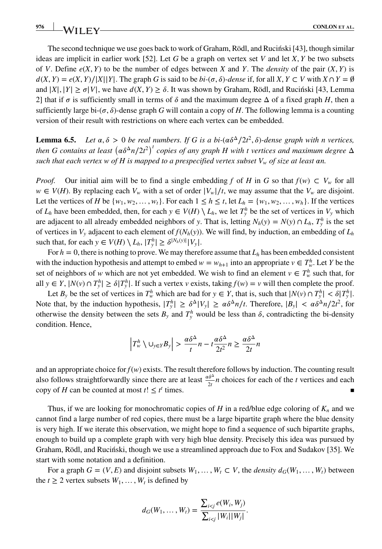The second technique we use goes back to work of Graham, Rödl, and Rucinski [43], though similar ideas are implicit in earlier work [52]. Let *G* be a graph on vertex set *V* and let *X*, *Y* be two subsets of *V*. Define  $e(X, Y)$  to be the number of edges between *X* and *Y*. The *density* of the pair  $(X, Y)$  is  $d(X, Y) = e(X, Y)/|X||Y|$ . The graph G is said to be  $bi-(\sigma, \delta)$ -dense if, for all  $X, Y \subset V$  with  $X \cap Y = \emptyset$ and  $|X|, |Y| \ge \sigma |V|$ , we have  $d(X, Y) \ge \delta$ . It was shown by Graham, Rödl, and Rucinski [43, Lemma 2] that if  $\sigma$  is sufficiently small in terms of  $\delta$  and the maximum degree  $\Delta$  of a fixed graph *H*, then a sufficiently large bi- $(\sigma, \delta)$ -dense graph *G* will contain a copy of *H*. The following lemma is a counting version of their result with restrictions on where each vertex can be embedded.

**Lemma 6.5.** *Let*  $\alpha, \delta > 0$  *be real numbers. If G is a bi*-( $\alpha \delta^{\Delta}/2t^2, \delta$ )-dense graph with n vertices, then G contains at least  $(a\delta^\Delta n/2t^2)^t$  copies of any graph H with t vertices and maximum degree  $\Delta$ *such that each vertex w of H is mapped to a prespecified vertex subset*  $V_w$  *of size at least an.* 

*Proof.* Our initial aim will be to find a single embedding *f* of *H* in *G* so that  $f(w) \subset V_w$  for all *w* ∈ *V*(*H*). By replacing each  $V_w$  with a set of order  $|V_w|/t$ , we may assume that the  $V_w$  are disjoint. Let the vertices of *H* be  $\{w_1, w_2, \ldots, w_t\}$ . For each  $1 \leq h \leq t$ , let  $L_h = \{w_1, w_2, \ldots, w_h\}$ . If the vertices of  $L_h$  have been embedded, then, for each  $y \in V(H) \setminus L_h$ , we let  $T_y^h$  be the set of vertices in  $V_y$  which are adjacent to all already embedded neighbors of *y*. That is, letting  $N_h(y) = N(y) \cap L_h$ ,  $T_y^h$  is the set of vertices in  $V_y$  adjacent to each element of  $f(N_h(y))$ . We will find, by induction, an embedding of  $L_h$ such that, for each  $y \in V(H) \setminus L_h$ ,  $|T_y^h| \ge \delta^{|N_h(y)|} |V_y|$ .

For  $h = 0$ , there is nothing to prove. We may therefore assume that  $L<sub>h</sub>$  has been embedded consistent with the induction hypothesis and attempt to embed  $w = w_{h+1}$  into an appropriate  $v \in T_w^h$ . Let *Y* be the set of neighbors of *w* which are not yet embedded. We wish to find an element  $v \in T_w^h$  such that, for all *y* ∈ *Y*,  $|N(v) \cap T_v^h|$  ≥  $\delta |T_v^h|$ . If such a vertex *v* exists, taking  $f(w) = v$  will then complete the proof.

Let  $B_y$  be the set of vertices in  $T_w^h$  which are bad for  $y \in Y$ , that is, such that  $|N(v) \cap T_y^h| < \delta |T_y^h|$ . Note that, by the induction hypothesis,  $|T_y^h| \ge \delta^{\Delta} |V_y| \ge \alpha \delta^{\Delta} n/t$ . Therefore,  $|B_y| < \alpha \delta^{\Delta} n/2t^2$ , for otherwise the density between the sets  $B_y$  and  $T_y^h$  would be less than  $\delta$ , contradicting the bi-density condition. Hence,

$$
\left|T_w^h \setminus \bigcup_{y \in Y} B_y\right| > \frac{\alpha \delta^{\Delta}}{t} n - t \frac{\alpha \delta^{\Delta}}{2t^2} n \ge \frac{\alpha \delta^{\Delta}}{2t} n
$$

and an appropriate choice for  $f(w)$  exists. The result therefore follows by induction. The counting result also follows straightforwardly since there are at least  $\frac{a\delta^{\Delta}}{2t}n$  choices for each of the *t* vertices and each copy of *H* can be counted at most  $t! \leq t^t$  times.

Thus, if we are looking for monochromatic copies of  $H$  in a red/blue edge coloring of  $K_n$  and we cannot find a large number of red copies, there must be a large bipartite graph where the blue density is very high. If we iterate this observation, we might hope to find a sequence of such bipartite graphs, enough to build up a complete graph with very high blue density. Precisely this idea was pursued by Graham, Rödl, and Ruciński, though we use a streamlined approach due to Fox and Sudakov [35]. We start with some notation and a definition.

For a graph  $G = (V, E)$  and disjoint subsets  $W_1, \ldots, W_t \subset V$ , the *density*  $d_G(W_1, \ldots, W_t)$  between the  $t \geq 2$  vertex subsets  $W_1, \ldots, W_t$  is defined by

$$
d_G(W_1, ..., W_t) = \frac{\sum_{i < j} e(W_i, W_j)}{\sum_{i < j} |W_i| |W_j|}.
$$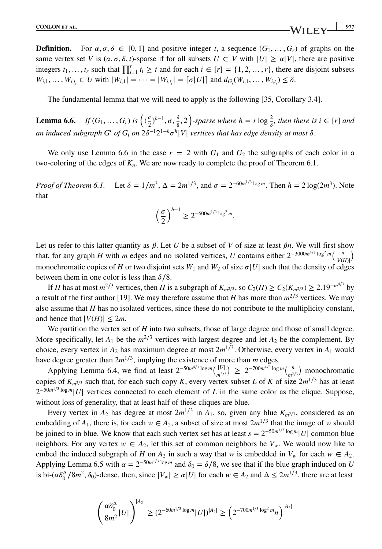**Definition.** For  $\alpha, \sigma, \delta \in [0, 1]$  and positive integer t, a sequence  $(G_1, \ldots, G_r)$  of graphs on the same vertex set *V* is  $(\alpha, \sigma, \delta, t)$ -sparse if for all subsets  $U \subset V$  with  $|U| \ge \alpha |V|$ , there are positive integers  $t_1, \ldots, t_r$  such that  $\prod_{i=1}^r t_i \geq t$  and for each  $i \in [r] = \{1, 2, \ldots, r\}$ , there are disjoint subsets  $W_{i,1}, \ldots, W_{i,t_i} \subset U$  with  $|W_{i,1}| = \cdots = |W_{i,t_i}| = \lceil \sigma |U| \rceil$  and  $d_{G_i}(W_{i,1}, \ldots, W_{i,t_i}) \le \delta$ .

The fundamental lemma that we will need to apply is the following [35, Corollary 3.4].

**Lemma 6.6.** *If*  $(G_1, ..., G_r)$  *is*  $\left( (\frac{\sigma}{2})^{h-1}, \sigma, \frac{\delta}{8} \right)$  $\left(\frac{\delta}{8}, 2\right)$ -sparse where  $h = r \log \frac{2}{\delta}$ , then there is  $i \in [r]$  and *an induced subgraph G′ of G<sub>i</sub> on*  $2\delta^{-1}2^{1-h}\sigma^h|V|$  *vertices that has edge density at most*  $\delta$ .

We only use Lemma 6.6 in the case  $r = 2$  with  $G_1$  and  $G_2$  the subgraphs of each color in a two-coloring of the edges of *Kn*. We are now ready to complete the proof of Theorem 6.1.

*Proof of Theorem 6.1.* Let  $\delta = 1/m^3$ ,  $\Delta = 2m^{1/3}$ , and  $\sigma = 2^{-60m^{1/3} \log m}$ . Then  $h = 2 \log(2m^3)$ . Note that

$$
\left(\frac{\sigma}{2}\right)^{h-1} \ge 2^{-600m^{1/3}\log^2 m}.
$$

Let us refer to this latter quantity as  $\beta$ . Let *U* be a subset of *V* of size at least  $\beta n$ . We will first show that, for any graph *H* with *m* edges and no isolated vertices, *U* contains either  $2^{-3000m^{4/3} \log^2 m}$   $\binom{n}{\text{IV/IV}}$ monochromatic copies of *H* or two disjoint sets  $W_1$  and  $W_2$  of size  $\sigma |U|$  such that the density of edges between them in one color is less than  $\delta/8$ .

If *H* has at most  $m^{2/3}$  vertices, then *H* is a subgraph of  $K_{m^{2/3}}$ , so  $C_2(H) \ge C_2(K_{m^{2/3}}) \ge 2.19^{-m^{4/3}}$  by a result of the first author [19]. We may therefore assume that *H* has more than  $m^{2/3}$  vertices. We may also assume that *H* has no isolated vertices, since these do not contribute to the multiplicity constant, and hence that  $|V(H)| \leq 2m$ .

We partition the vertex set of *H* into two subsets, those of large degree and those of small degree. More specifically, let  $A_1$  be the  $m^{2/3}$  vertices with largest degree and let  $A_2$  be the complement. By choice, every vertex in  $A_2$  has maximum degree at most  $2m^{1/3}$ . Otherwise, every vertex in  $A_1$  would have degree greater than 2*m*<sup>1</sup>∕3, implying the existence of more than *m* edges.

Applying Lemma 6.4, we find at least  $2^{-50m^{4/3} \log m} {M \choose m^{2/3}}$  ≥  $2^{-700m^{4/3} \log m} {n \choose m^{2/3}}$  monochromatic copies of  $K_{m^{2/3}}$  such that, for each such copy *K*, every vertex subset *L* of *K* of size  $2m^{1/3}$  has at least 2<sup>−50*m*<sup>1/3</sup> log *m*</sup>|*U*| vertices connected to each element of *L* in the same color as the clique. Suppose, without loss of generality, that at least half of these cliques are blue.

Every vertex in  $A_2$  has degree at most  $2m^{1/3}$  in  $A_1$ , so, given any blue  $K_{m^{2/3}}$ , considered as an embedding of  $A_1$ , there is, for each  $w \in A_2$ , a subset of size at most  $2m^{1/3}$  that the image of *w* should be joined to in blue. We know that each such vertex set has at least  $s = 2^{-50m^{1/3} \log m} |U|$  common blue neighbors. For any vertex  $w \in A_2$ , let this set of common neighbors be  $V_w$ . We would now like to embed the induced subgraph of *H* on  $A_2$  in such a way that *w* is embedded in  $V_w$  for each  $w \in A_2$ . Applying Lemma 6.5 with  $\alpha = 2^{-50m^{1/3} \log m}$  and  $\delta_0 = \delta/8$ , we see that if the blue graph induced on *U* is bi- $(\alpha \delta_0^{\Delta}/8m^2, \delta_0)$ -dense, then, since  $|V_w| \ge \alpha |U|$  for each  $w \in A_2$  and  $\Delta \le 2m^{1/3}$ , there are at least

$$
\left(\frac{\alpha\delta_0^{\Delta}}{8m^2}|U|\right)^{|A_2|} \ge (2^{-60m^{1/3}\log m}|U|)^{|A_2|} \ge \left(2^{-700m^{1/3}\log^2 m}n\right)^{|A_2|}
$$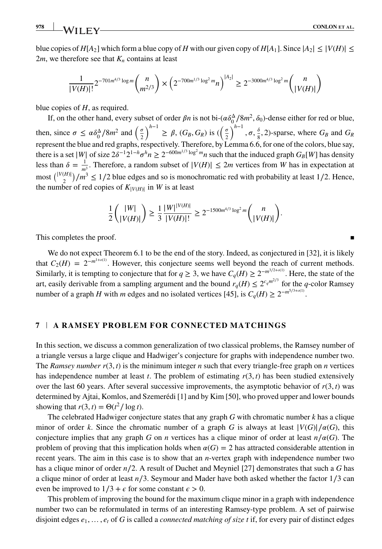blue copies of  $H[A_2]$  which form a blue copy of *H* with our given copy of  $H[A_1]$ . Since  $|A_2| \leq |V(H)| \leq$ 2*m*, we therefore see that  $K_n$  contains at least

$$
\frac{1}{|V(H)|!} 2^{-701m^{4/3}\log m} \binom{n}{m^{2/3}} \times \left(2^{-700m^{1/3}\log^2 m} n\right)^{|A_2|} \geq 2^{-3000m^{4/3}\log^2 m} \binom{n}{|V(H)|}
$$

blue copies of *H*, as required.

If, on the other hand, every subset of order  $\beta n$  is not bi- $(\alpha \delta_0^{\Delta}/8m^2, \delta_0)$ -dense either for red or blue, then, since  $\sigma \le \alpha \delta_0^{\Delta}/8m^2$  and  $\left(\frac{\sigma}{2}\right)$  $\int$ <sup>h−1</sup> ≥  $\beta$ , (*G<sub>B</sub>*, *G<sub>R</sub>*) is ( $\left(\frac{\sigma}{2}\right)$ 2  $\int^{h-1}, \sigma, \frac{\delta}{\delta}$  $\frac{6}{8}$ , 2)-sparse, where  $G_B$  and  $G_R$ represent the blue and red graphs, respectively. Therefore, by Lemma 6.6, for one of the colors, blue say, there is a set |*W*| of size  $2\delta^{-1}2^{1-h}\sigma^h n \geq 2^{-600m^{1/3} \log^2 m} n$  such that the induced graph  $G_B[W]$  has density less than  $\delta = \frac{1}{m_2^3}$ . Therefore, a random subset of  $|V(H)| \le 2m$  vertices from *W* has in expectation at *most*  $\binom{|V(H)|}{2}/m^3 \le 1/2$  blue edges and so is monochromatic red with probability at least 1/2. Hence, the number of red copies of  $K_{|V(H)|}$  in *W* is at least

$$
\frac{1}{2} \binom{|W|}{|V(H)|} \ge \frac{1}{3} \frac{|W|^{|V(H)|}}{|V(H)|!} \ge 2^{-1500m^{4/3} \log^2 m} \binom{n}{|V(H)|}.
$$

This completes the proof.

We do not expect Theorem 6.1 to be the end of the story. Indeed, as conjectured in [32], it is likely that  $C_2(H) = 2^{-m^{1+o(1)}}$ . However, this conjecture seems well beyond the reach of current methods. Similarly, it is tempting to conjecture that for  $q \ge 3$ , we have  $C_q(H) \ge 2^{-m^{3/2+o(1)}}$ . Here, the state of the art, easily derivable from a sampling argument and the bound  $r_q(H) \leq 2^{c_q m^{2/3}}$  for the *q*-color Ramsey number of a graph *H* with *m* edges and no isolated vertices [45], is  $C_q(H) \geq 2^{-m^{5/3+o(1)}}$ .

#### **7 A RAMSEY PROBLEM FOR CONNECTED MATCHINGS**

In this section, we discuss a common generalization of two classical problems, the Ramsey number of a triangle versus a large clique and Hadwiger's conjecture for graphs with independence number two. The *Ramsey number*  $r(3,t)$  is the minimum integer *n* such that every triangle-free graph on *n* vertices has independence number at least  $t$ . The problem of estimating  $r(3,t)$  has been studied extensively over the last 60 years. After several successive improvements, the asymptotic behavior of  $r(3, t)$  was determined by Ajtai, Komlos, and Szemerédi [1] and by Kim [50], who proved upper and lower bounds showing that  $r(3, t) = \Theta(t^2 / \log t)$ .

The celebrated Hadwiger conjecture states that any graph *G* with chromatic number *k* has a clique minor of order *k*. Since the chromatic number of a graph *G* is always at least  $|V(G)|/\alpha(G)$ , this conjecture implies that any graph *G* on *n* vertices has a clique minor of order at least  $n/\alpha(G)$ . The problem of proving that this implication holds when  $\alpha(G) = 2$  has attracted considerable attention in recent years. The aim in this case is to show that an *n*-vertex graph with independence number two has a clique minor of order *n*∕2. A result of Duchet and Meyniel [27] demonstrates that such a *G* has a clique minor of order at least *n*∕3. Seymour and Mader have both asked whether the factor 1∕3 can even be improved to  $1/3 + \epsilon$  for some constant  $\epsilon > 0$ .

This problem of improving the bound for the maximum clique minor in a graph with independence number two can be reformulated in terms of an interesting Ramsey-type problem. A set of pairwise disjoint edges  $e_1, \ldots, e_t$  of *G* is called a *connected matching of size t* if, for every pair of distinct edges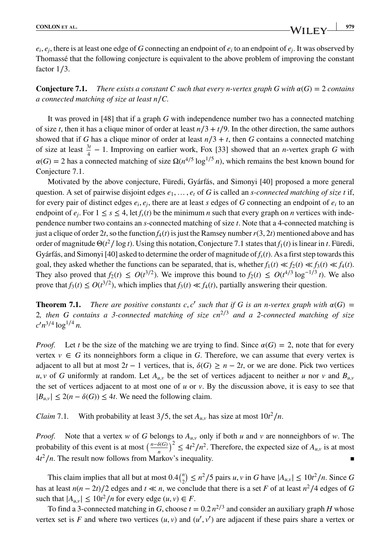$e_i, e_j$ , there is at least one edge of *G* connecting an endpoint of  $e_i$  to an endpoint of  $e_j$ . It was observed by Thomassé that the following conjecture is equivalent to the above problem of improving the constant factor 1∕3.

**Conjecture 7.1.** *There exists a constant C such that every n-vertex graph G with*  $\alpha(G) = 2$  *contains a connected matching of size at least n*∕*C.*

It was proved in [48] that if a graph *G* with independence number two has a connected matching of size *t*, then it has a clique minor of order at least  $n/3 + t/9$ . In the other direction, the same authors showed that if *G* has a clique minor of order at least  $n/3 + t$ , then *G* contains a connected matching of size at least  $\frac{3t}{4} - 1$ . Improving on earlier work, Fox [33] showed that an *n*-vertex graph *G* with  $\alpha(G) = 2$  has a connected matching of size  $\Omega(n^{4/5} \log^{1/5} n)$ , which remains the best known bound for Conjecture 7.1.

Motivated by the above conjecture, Füredi, Gyárfás, and Simonyi [40] proposed a more general question. A set of pairwise disjoint edges  $e_1, \ldots, e_t$  of *G* is called an *s-connected matching of size t* if, for every pair of distinct edges  $e_i$ ,  $e_j$ , there are at least *s* edges of *G* connecting an endpoint of  $e_i$  to an endpoint of  $e_i$ . For  $1 \le s \le 4$ , let  $f_s(t)$  be the minimum *n* such that every graph on *n* vertices with independence number two contains an *s*-connected matching of size *t*. Note that a 4-connected matching is just a clique of order 2*t*, so the function  $f_4(t)$  is just the Ramsey number  $r(3, 2t)$  mentioned above and has order of magnitude Θ(*t* <sup>2</sup>∕ log *t*). Using this notation, Conjecture 7.1 states that *f*1(*t*) is linear in *t*. Füredi, Gyárfás, and Simonyi [40] asked to determine the order of magnitude of *fs*(*t*). As a first step towards this goal, they asked whether the functions can be separated, that is, whether  $f_1(t) \ll f_2(t) \ll f_3(t) \ll f_4(t)$ . They also proved that  $f_2(t) \leq O(t^{3/2})$ . We improve this bound to  $f_2(t) \leq O(t^{4/3} \log^{-1/3} t)$ . We also prove that  $f_3(t) \leq O(t^{3/2})$ , which implies that  $f_3(t) \ll f_4(t)$ , partially answering their question.

**Theorem 7.1.** *There are positive constants c, c' such that if G is an n-vertex graph with*  $\alpha(G)$  = 2*, then G contains a 3-connected matching of size cn*<sup>2</sup>∕<sup>3</sup> *and a 2-connected matching of size*  $c'n^{3/4} \log^{1/4} n$ .

*Proof.* Let *t* be the size of the matching we are trying to find. Since  $\alpha(G) = 2$ , note that for every vertex  $v \in G$  its nonneighbors form a clique in G. Therefore, we can assume that every vertex is adjacent to all but at most  $2t - 1$  vertices, that is,  $\delta(G) \geq n - 2t$ , or we are done. Pick two vertices  $u, v$  of *G* uniformly at random. Let  $A_{u,v}$  be the set of vertices adjacent to neither *u* nor *v* and  $B_{u,v}$ the set of vertices adjacent to at most one of *u* or *v*. By the discussion above, it is easy to see that  $|B_{uv}|$  ≤ 2(*n* −  $\delta(G)$ ) ≤ 4*t*. We need the following claim.

*Claim* 7.1. With probability at least 3/5, the set  $A_{u,v}$  has size at most  $10t^2/n$ .

*Proof.* Note that a vertex *w* of *G* belongs to *Au,<sup>v</sup>* only if both *u* and *v* are nonneighbors of *w*. The probability of this event is at most  $\left(\frac{n-\delta(G)}{n}\right)^2 \leq 4t^2/n^2$ . Therefore, the expected size of  $A_{u,v}$  is at most  $4t^2/n$ . The result now follows from Markov's inequality.

This claim implies that all but at most  $0.4\binom{n}{2} \le n^2/5$  pairs *u*, *v* in *G* have  $|A_{u,v}| \le 10t^2/n$ . Since *G* has at least  $n(n-2t)/2$  edges and  $t \ll n$ , we conclude that there is a set *F* of at least  $n^2/4$  edges of *G* such that  $|A_{u,v}| \le 10t^2/n$  for every edge  $(u, v) \in F$ .

To find a 3-connected matching in *G*, choose  $t = 0.2 n^{2/3}$  and consider an auxiliary graph *H* whose vertex set is F and where two vertices  $(u, v)$  and  $(u', v')$  are adjacent if these pairs share a vertex or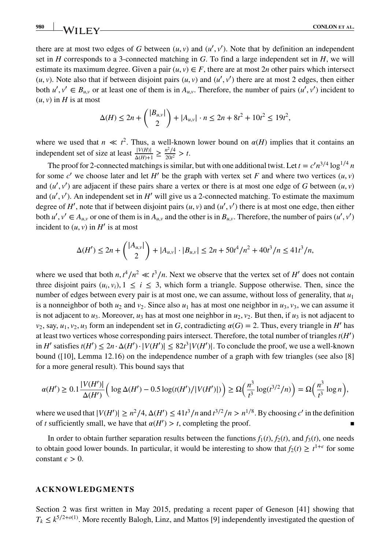there are at most two edges of *G* between  $(u, v)$  and  $(u', v')$ . Note that by definition an independent set in *H* corresponds to a 3-connected matching in *G*. To find a large independent set in *H*, we will estimate its maximum degree. Given a pair  $(u, v) \in F$ , there are at most 2*n* other pairs which intersect  $(u, v)$ . Note also that if between disjoint pairs  $(u, v)$  and  $(u', v')$  there are at most 2 edges, then either both  $u', v' \in B_{u,v}$  or at least one of them is in  $A_{u,v}$ . Therefore, the number of pairs  $(u', v')$  incident to  $(u, v)$  in *H* is at most

$$
\Delta(H) \le 2n + { |B_{u,v}| \choose 2} + |A_{u,v}| \cdot n \le 2n + 8t^2 + 10t^2 \le 19t^2,
$$

where we used that  $n \ll t^2$ . Thus, a well-known lower bound on  $\alpha(H)$  implies that it contains an independent set of size at least  $\frac{|V(H)|}{\Delta(H)+1} \ge \frac{n^2/4}{20t^2} > t$ .

The proof for 2-connected matchings is similar, but with one additional twist. Let  $t = c'n^{3/4} \log^{1/4} n$ for some *c'* we choose later and let *H'* be the graph with vertex set *F* and where two vertices  $(u, v)$ and  $(u', v')$  are adjacent if these pairs share a vertex or there is at most one edge of *G* between  $(u, v)$ and  $(u', v')$ . An independent set in  $H'$  will give us a 2-connected matching. To estimate the maximum degree of  $H'$ , note that if between disjoint pairs  $(u, v)$  and  $(u', v')$  there is at most one edge, then either both  $u', v' \in A_{u,v}$  or one of them is in  $A_{u,v}$  and the other is in  $B_{u,v}$ . Therefore, the number of pairs  $(u', v')$ incident to  $(u, v)$  in  $H'$  is at most

$$
\Delta(H') \le 2n + { |A_{u,v}| \choose 2} + |A_{u,v}| \cdot |B_{u,v}| \le 2n + 50t^4/n^2 + 40t^3/n \le 41t^3/n,
$$

where we used that both  $n, t^4/n^2 \ll t^3/n$ . Next we observe that the vertex set of *H'* does not contain three disjoint pairs  $(u_i, v_i)$ ,  $1 \le i \le 3$ , which form a triangle. Suppose otherwise. Then, since the number of edges between every pair is at most one, we can assume, without loss of generality, that *u*<sup>1</sup> is a nonneighbor of both  $u_2$  and  $v_2$ . Since also  $u_1$  has at most one neighbor in  $u_3$ ,  $v_3$ , we can assume it is not adjacent to  $u_3$ . Moreover,  $u_3$  has at most one neighbor in  $u_2$ ,  $v_2$ . But then, if  $u_3$  is not adjacent to  $v_2$ , say,  $u_1$ ,  $v_2$ ,  $u_3$  form an independent set in *G*, contradicting  $\alpha(G) = 2$ . Thus, every triangle in *H'* has at least two vertices whose corresponding pairs intersect. Therefore, the total number of triangles *t*(*H*′ ) in *H'* satisfies *t*(*H'*) ≤ 2*n*⋅Δ(*H'*)⋅|*V*(*H'*)| ≤ 82*t*<sup>3</sup>|*V*(*H'*)|. To conclude the proof, we use a well-known bound ([10], Lemma 12.16) on the independence number of a graph with few triangles (see also [8] for a more general result). This bound says that

$$
\alpha(H') \ge 0.1 \frac{|V(H')|}{\Delta(H')} \left( \log \Delta(H') - 0.5 \log(t(H')/|V(H')|) \right) \ge \Omega\left(\frac{n^3}{t^3} \log(t^{3/2}/n)\right) = \Omega\left(\frac{n^3}{t^3} \log n\right),
$$

where we used that  $|V(H')| \ge n^2/4$ ,  $\Delta(H') \le 41t^3/n$  and  $t^{3/2}/n > n^{1/8}$ . By choosing *c'* in the definition of *t* sufficiently small, we have that  $\alpha(H') > t$ , completing the proof.

In order to obtain further separation results between the functions  $f_1(t)$ ,  $f_2(t)$ , and  $f_3(t)$ , one needs to obtain good lower bounds. In particular, it would be interesting to show that  $f_2(t) \geq t^{1+\epsilon}$  for some constant  $\epsilon > 0$ .

#### **ACKNOWLEDGMENTS**

Section 2 was first written in May 2015, predating a recent paper of Geneson [41] showing that  $T_k \leq k^{5/2 + o(1)}$ . More recently Balogh, Linz, and Mattos [9] independently investigated the question of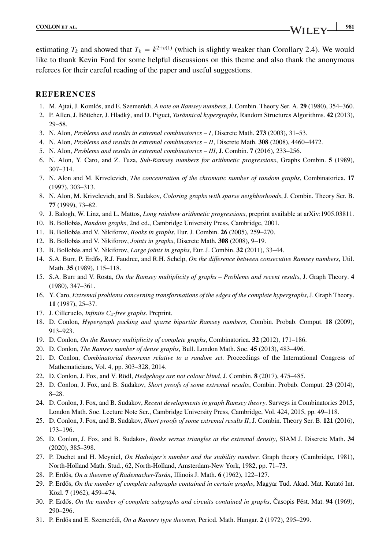estimating  $T_k$  and showed that  $T_k = k^{2+o(1)}$  (which is slightly weaker than Corollary 2.4). We would like to thank Kevin Ford for some helpful discussions on this theme and also thank the anonymous referees for their careful reading of the paper and useful suggestions.

## **REFERENCES**

- 1. M. Ajtai, J. Komlós, and E. Szemerédi, *A note on Ramsey numbers*, J. Combin. Theory Ser. A. **29** (1980), 354–360.
- 2. P. Allen, J. Böttcher, J. Hladký, and D. Piguet, *Turánnical hypergraphs*, Random Structures Algorithms. **42** (2013), 29–58.
- 3. N. Alon, *Problems and results in extremal combinatorics I*, Discrete Math. **273** (2003), 31–53.
- 4. N. Alon, *Problems and results in extremal combinatorics II*, Discrete Math. **308** (2008), 4460–4472.
- 5. N. Alon, *Problems and results in extremal combinatorics III*, J. Combin. **7** (2016), 233–256.
- 6. N. Alon, Y. Caro, and Z. Tuza, *Sub-Ramsey numbers for arithmetic progressions*, Graphs Combin. **5** (1989), 307–314.
- 7. N. Alon and M. Krivelevich, *The concentration of the chromatic number of random graphs*, Combinatorica. **17** (1997), 303–313.
- 8. N. Alon, M. Krivelevich, and B. Sudakov, *Coloring graphs with sparse neighborhoods*, J. Combin. Theory Ser. B. **77** (1999), 73–82.
- 9. J. Balogh, W. Linz, and L. Mattos, *Long rainbow arithmetic progressions*, preprint available at arXiv:1905.03811.
- 10. B. Bollobás, *Random graphs*, 2nd ed., Cambridge University Press, Cambridge, 2001.
- 11. B. Bollobás and V. Nikiforov, *Books in graphs*, Eur. J. Combin. **26** (2005), 259–270.
- 12. B. Bollobás and V. Nikiforov, *Joints in graphs*, Discrete Math. **308** (2008), 9–19.
- 13. B. Bollobás and V. Nikiforov, *Large joints in graphs*, Eur. J. Combin. **32** (2011), 33–44.
- 14. S.A. Burr, P. Erdős, R.J. Faudree, and R.H. Schelp, On the difference between consecutive Ramsey numbers, Util. Math. **35** (1989), 115–118.
- 15. S.A. Burr and V. Rosta, *On the Ramsey multiplicity of graphs Problems and recent results*, J. Graph Theory. **4** (1980), 347–361.
- 16. Y. Caro, *Extremal problems concerning transformations of the edges of the complete hypergraphs*, J. Graph Theory. **11** (1987), 25–37.
- 17. J. Cilleruelo, *Infinite C*4*-free graphs*. Preprint.
- 18. D. Conlon, *Hypergraph packing and sparse bipartite Ramsey numbers*, Combin. Probab. Comput. **18** (2009), 913–923.
- 19. D. Conlon, *On the Ramsey multiplicity of complete graphs*, Combinatorica. **32** (2012), 171–186.
- 20. D. Conlon, *The Ramsey number of dense graphs*, Bull. London Math. Soc. **45** (2013), 483–496.
- 21. D. Conlon, *Combinatorial theorems relative to a random set*. Proceedings of the International Congress of Mathematicians, Vol. 4, pp. 303–328, 2014.
- 22. D. Conlon, J. Fox, and V. Rödl, *Hedgehogs are not colour blind*, J. Combin. **8** (2017), 475–485.
- 23. D. Conlon, J. Fox, and B. Sudakov, *Short proofs of some extremal results*, Combin. Probab. Comput. **23** (2014), 8–28.
- 24. D. Conlon, J. Fox, and B. Sudakov, *Recent developments in graph Ramsey theory*. Surveys in Combinatorics 2015, London Math. Soc. Lecture Note Ser., Cambridge University Press, Cambridge, Vol. 424, 2015, pp. 49–118.
- 25. D. Conlon, J. Fox, and B. Sudakov, *Short proofs of some extremal results II*, J. Combin. Theory Ser. B. **121** (2016), 173–196.
- 26. D. Conlon, J. Fox, and B. Sudakov, *Books versus triangles at the extremal density*, SIAM J. Discrete Math. **34** (2020), 385–398.
- 27. P. Duchet and H. Meyniel, *On Hadwiger's number and the stability number*. Graph theory (Cambridge, 1981), North-Holland Math. Stud., 62, North-Holland, Amsterdam-New York, 1982, pp. 71–73.
- 28. P. Erdős, *On a theorem of Rademacher-Turán*, Illinois J. Math. **6** (1962), 122–127.
- 29. P. Erdős, *On the number of complete subgraphs contained in certain graphs*, Magyar Tud. Akad. Mat. Kutató Int. Közl. **7** (1962), 459–474.
- 30. P. Erdős, *On the number of complete subgraphs and circuits contained in graphs*, Časopis Pěst. Mat. 94 (1969), 290–296.
- 31. P. Erdős and E. Szemerédi, *On a Ramsey type theorem*, Period. Math. Hungar. 2 (1972), 295–299.